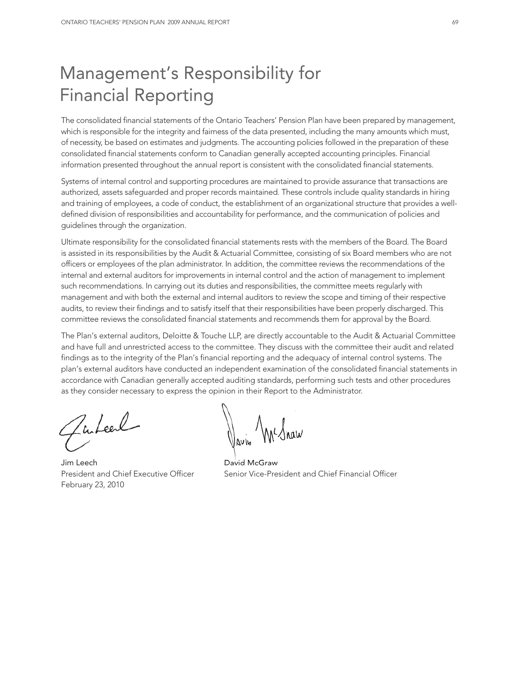# Management's Responsibility for Financial Reporting

The consolidated financial statements of the Ontario Teachers' Pension Plan have been prepared by management, which is responsible for the integrity and fairness of the data presented, including the many amounts which must, of necessity, be based on estimates and judgments. The accounting policies followed in the preparation of these consolidated financial statements conform to Canadian generally accepted accounting principles. Financial information presented throughout the annual report is consistent with the consolidated financial statements.

Systems of internal control and supporting procedures are maintained to provide assurance that transactions are authorized, assets safeguarded and proper records maintained. These controls include quality standards in hiring and training of employees, a code of conduct, the establishment of an organizational structure that provides a welldefined division of responsibilities and accountability for performance, and the communication of policies and guidelines through the organization.

Ultimate responsibility for the consolidated financial statements rests with the members of the Board. The Board is assisted in its responsibilities by the Audit & Actuarial Committee, consisting of six Board members who are not officers or employees of the plan administrator. In addition, the committee reviews the recommendations of the internal and external auditors for improvements in internal control and the action of management to implement such recommendations. In carrying out its duties and responsibilities, the committee meets regularly with management and with both the external and internal auditors to review the scope and timing of their respective audits, to review their findings and to satisfy itself that their responsibilities have been properly discharged. This committee reviews the consolidated financial statements and recommends them for approval by the Board.

The Plan's external auditors, Deloitte & Touche LLP, are directly accountable to the Audit & Actuarial Committee and have full and unrestricted access to the committee. They discuss with the committee their audit and related findings as to the integrity of the Plan's financial reporting and the adequacy of internal control systems. The plan's external auditors have conducted an independent examination of the consolidated financial statements in accordance with Canadian generally accepted auditing standards, performing such tests and other procedures as they consider necessary to express the opinion in their Report to the Administrator.

Zuteel

Jim Leech David McGraw February 23, 2010

 $\bigwedge$   $\bigwedge_{\Lambda}$   $\bigwedge_{\Lambda}$ 

President and Chief Executive Officer Senior Vice-President and Chief Financial Officer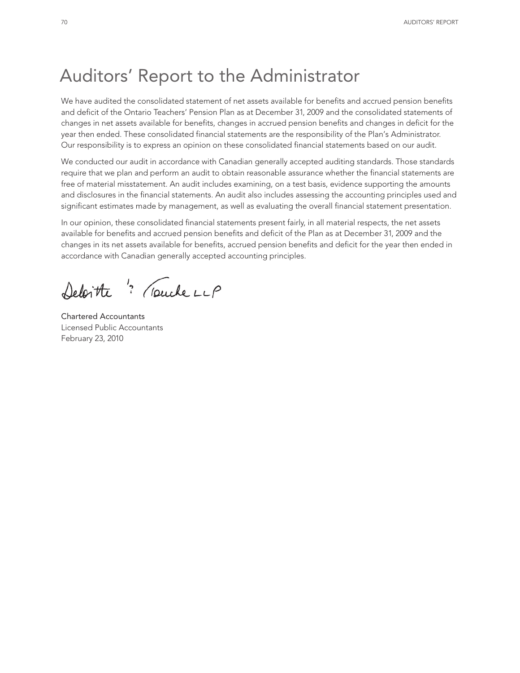# Auditors' Report to the Administrator

We have audited the consolidated statement of net assets available for benefits and accrued pension benefits and deficit of the Ontario Teachers' Pension Plan as at December 31, 2009 and the consolidated statements of changes in net assets available for benefits, changes in accrued pension benefits and changes in deficit for the year then ended. These consolidated financial statements are the responsibility of the Plan's Administrator. Our responsibility is to express an opinion on these consolidated financial statements based on our audit.

We conducted our audit in accordance with Canadian generally accepted auditing standards. Those standards require that we plan and perform an audit to obtain reasonable assurance whether the financial statements are free of material misstatement. An audit includes examining, on a test basis, evidence supporting the amounts and disclosures in the financial statements. An audit also includes assessing the accounting principles used and significant estimates made by management, as well as evaluating the overall financial statement presentation.

In our opinion, these consolidated financial statements present fairly, in all material respects, the net assets available for benefits and accrued pension benefits and deficit of the Plan as at December 31, 2009 and the changes in its net assets available for benefits, accrued pension benefits and deficit for the year then ended in accordance with Canadian generally accepted accounting principles.

Deloitte " (puckerup

Chartered Accountants Licensed Public Accountants February 23, 2010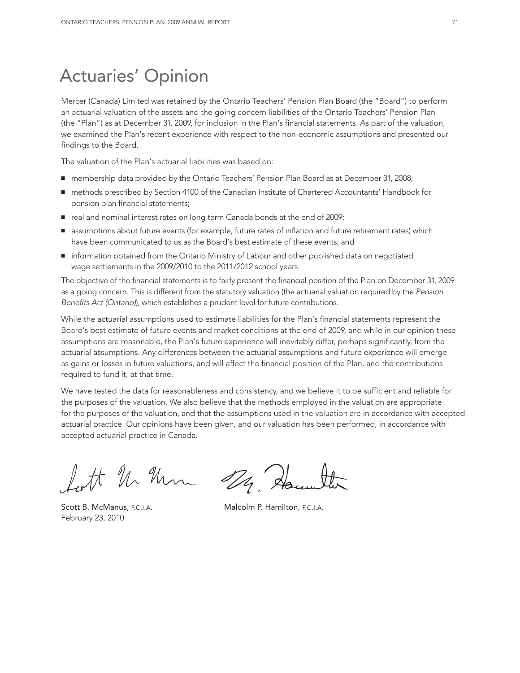## Actuaries' Opinion

Mercer (Canada) Limited was retained by the Ontario Teachers' Pension Plan Board (the "Board") to perform an actuarial valuation of the assets and the going concern liabilities of the Ontario Teachers' Pension Plan (the "Plan") as at December 31, 2009, for inclusion in the Plan's financial statements. As part of the valuation, we examined the Plan's recent experience with respect to the non-economic assumptions and presented our findings to the Board.

The valuation of the Plan's actuarial liabilities was based on:

- membership data provided by the Ontario Teachers' Pension Plan Board as at December 31, 2008;
- methods prescribed by Section 4100 of the Canadian Institute of Chartered Accountants' Handbook for pension plan financial statements;
- real and nominal interest rates on long term Canada bonds at the end of 2009;
- assumptions about future events (for example, future rates of inflation and future retirement rates) which have been communicated to us as the Board's best estimate of these events; and
- information obtained from the Ontario Ministry of Labour and other published data on negotiated wage settlements in the 2009/2010 to the 2011/2012 school years.

The objective of the financial statements is to fairly present the financial position of the Plan on December 31, 2009 as a going concern. This is different from the statutory valuation (the actuarial valuation required by the *Pension Benefits Act (Ontario)*), which establishes a prudent level for future contributions.

While the actuarial assumptions used to estimate liabilities for the Plan's financial statements represent the Board's best estimate of future events and market conditions at the end of 2009, and while in our opinion these assumptions are reasonable, the Plan's future experience will inevitably differ, perhaps significantly, from the actuarial assumptions. Any differences between the actuarial assumptions and future experience will emerge as gains or losses in future valuations, and will affect the financial position of the Plan, and the contributions required to fund it, at that time.

We have tested the data for reasonableness and consistency, and we believe it to be sufficient and reliable for the purposes of the valuation. We also believe that the methods employed in the valuation are appropriate for the purposes of the valuation, and that the assumptions used in the valuation are in accordance with accepted actuarial practice. Our opinions have been given, and our valuation has been performed, in accordance with accepted actuarial practice in Canada.

forth Un Um 124, Hours

Scott B. McManus, F.C.I.A. Malcolm P. Hamilton, F.C.I.A. February 23, 2010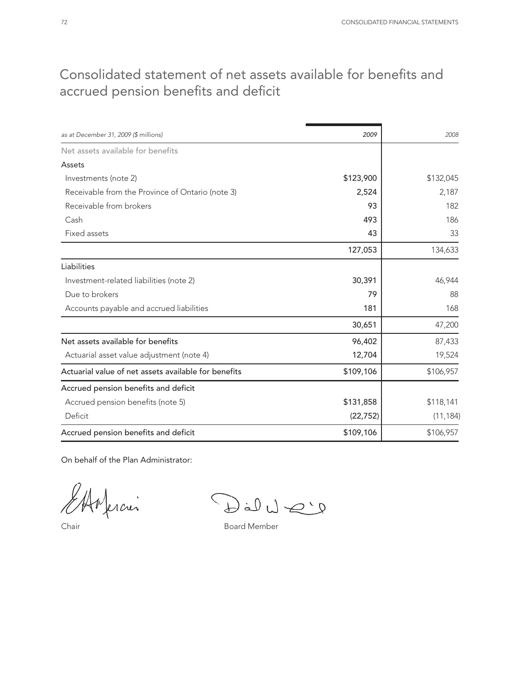## Consolidated statement of net assets available for benefits and accrued pension benefits and deficit

| as at December 31, 2009 (\$ millions)                | 2009      | 2008      |
|------------------------------------------------------|-----------|-----------|
| Net assets available for benefits                    |           |           |
| Assets                                               |           |           |
|                                                      |           |           |
| Investments (note 2)                                 | \$123,900 | \$132,045 |
| Receivable from the Province of Ontario (note 3)     | 2,524     | 2,187     |
| Receivable from brokers                              | 93        | 182       |
| Cash                                                 | 493       | 186       |
| Fixed assets                                         | 43        | 33        |
|                                                      | 127,053   | 134,633   |
| Liabilities                                          |           |           |
| Investment-related liabilities (note 2)              | 30,391    | 46,944    |
| Due to brokers                                       | 79        | 88        |
| Accounts payable and accrued liabilities             | 181       | 168       |
|                                                      | 30,651    | 47,200    |
| Net assets available for benefits                    | 96,402    | 87,433    |
| Actuarial asset value adjustment (note 4)            | 12,704    | 19,524    |
| Actuarial value of net assets available for benefits | \$109,106 | \$106,957 |
| Accrued pension benefits and deficit                 |           |           |
| Accrued pension benefits (note 5)                    | \$131,858 | \$118,141 |
| Deficit                                              | (22, 752) | (11, 184) |
| Accrued pension benefits and deficit                 | \$109,106 | \$106,957 |

On behalf of the Plan Administrator:

ferción

 $\bigcirc \text{Id} \cup \text{Id} \text{Id}$ 

Chair **Board Member**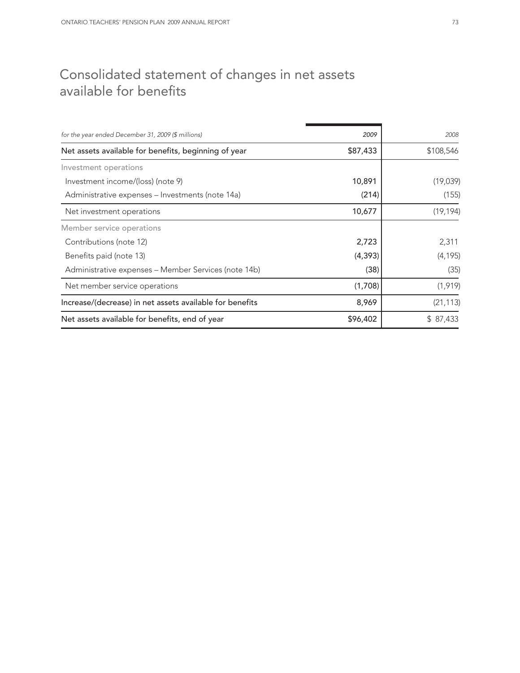## Consolidated statement of changes in net assets available for benefits

| for the year ended December 31, 2009 (\$ millions)       | 2009     | 2008      |
|----------------------------------------------------------|----------|-----------|
| Net assets available for benefits, beginning of year     | \$87,433 | \$108,546 |
| Investment operations                                    |          |           |
| Investment income/(loss) (note 9)                        | 10,891   | (19,039)  |
| Administrative expenses - Investments (note 14a)         | (214)    | (155)     |
| Net investment operations                                | 10,677   | (19, 194) |
| Member service operations                                |          |           |
| Contributions (note 12)                                  | 2,723    | 2,311     |
| Benefits paid (note 13)                                  | (4, 393) | (4, 195)  |
| Administrative expenses - Member Services (note 14b)     | (38)     | (35)      |
| Net member service operations                            | (1,708)  | (1, 919)  |
| Increase/(decrease) in net assets available for benefits | 8,969    | (21, 113) |
| Net assets available for benefits, end of year           | \$96,402 | \$ 87,433 |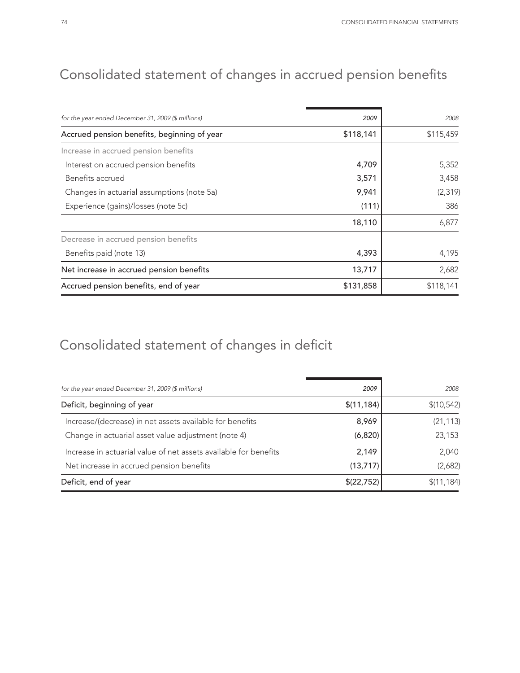| for the year ended December 31, 2009 (\$ millions) | 2009      | 2008      |
|----------------------------------------------------|-----------|-----------|
| Accrued pension benefits, beginning of year        | \$118,141 | \$115,459 |
| Increase in accrued pension benefits               |           |           |
| Interest on accrued pension benefits               | 4,709     | 5,352     |
| Benefits accrued                                   | 3,571     | 3,458     |
| Changes in actuarial assumptions (note 5a)         | 9,941     | (2, 319)  |
| Experience (gains)/losses (note 5c)                | (111)     | 386       |
|                                                    | 18,110    | 6,877     |
| Decrease in accrued pension benefits               |           |           |
| Benefits paid (note 13)                            | 4,393     | 4,195     |
| Net increase in accrued pension benefits           | 13,717    | 2,682     |
| Accrued pension benefits, end of year              | \$131,858 | \$118,141 |

# Consolidated statement of changes in deficit

| for the year ended December 31, 2009 (\$ millions)               | 2009        | 2008        |
|------------------------------------------------------------------|-------------|-------------|
| Deficit, beginning of year                                       | \$(11, 184) | \$(10, 542) |
| Increase/(decrease) in net assets available for benefits         | 8,969       | (21, 113)   |
| Change in actuarial asset value adjustment (note 4)              | (6,820)     | 23,153      |
| Increase in actuarial value of net assets available for benefits | 2,149       | 2,040       |
| Net increase in accrued pension benefits                         | (13, 717)   | (2,682)     |
| Deficit, end of year                                             | \$(22,752)  | \$(11, 184) |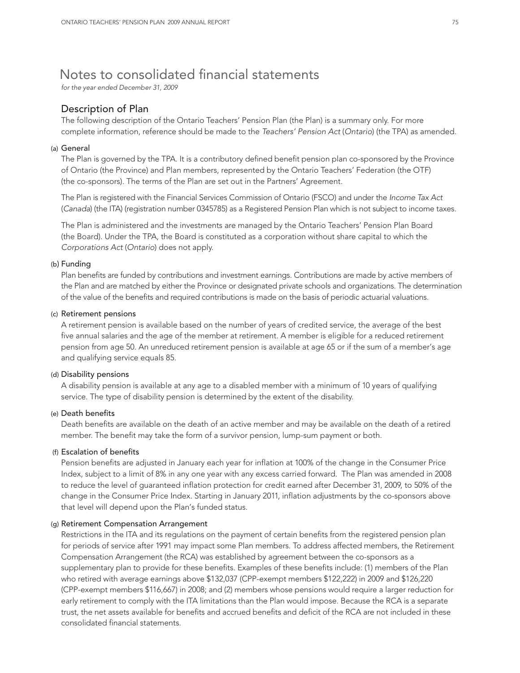## Notes to consolidated financial statements

*for the year ended December 31, 2009*

## Description of Plan

The following description of the Ontario Teachers' Pension Plan (the Plan) is a summary only. For more complete information, reference should be made to the *Teachers' Pension Act* (*Ontario*) (the TPA) as amended.

#### (a) General

The Plan is governed by the TPA. It is a contributory defined benefit pension plan co-sponsored by the Province of Ontario (the Province) and Plan members, represented by the Ontario Teachers' Federation (the OTF) (the co-sponsors). The terms of the Plan are set out in the Partners' Agreement.

The Plan is registered with the Financial Services Commission of Ontario (FSCO) and under the *Income Tax Act* (*Canada*) (the ITA) (registration number 0345785) as a Registered Pension Plan which is not subject to income taxes.

The Plan is administered and the investments are managed by the Ontario Teachers' Pension Plan Board (the Board). Under the TPA, the Board is constituted as a corporation without share capital to which the *Corporations Act* (*Ontario*) does not apply.

#### (b) Funding

Plan benefits are funded by contributions and investment earnings. Contributions are made by active members of the Plan and are matched by either the Province or designated private schools and organizations. The determination of the value of the benefits and required contributions is made on the basis of periodic actuarial valuations.

#### (c) Retirement pensions

A retirement pension is available based on the number of years of credited service, the average of the best five annual salaries and the age of the member at retirement. A member is eligible for a reduced retirement pension from age 50. An unreduced retirement pension is available at age 65 or if the sum of a member's age and qualifying service equals 85.

#### (d) Disability pensions

A disability pension is available at any age to a disabled member with a minimum of 10 years of qualifying service. The type of disability pension is determined by the extent of the disability.

#### (e) Death benefits

Death benefits are available on the death of an active member and may be available on the death of a retired member. The benefit may take the form of a survivor pension, lump-sum payment or both.

### (f) Escalation of benefits

Pension benefits are adjusted in January each year for inflation at 100% of the change in the Consumer Price Index, subject to a limit of 8% in any one year with any excess carried forward. The Plan was amended in 2008 to reduce the level of guaranteed inflation protection for credit earned after December 31, 2009, to 50% of the change in the Consumer Price Index. Starting in January 2011, inflation adjustments by the co-sponsors above that level will depend upon the Plan's funded status.

#### (g) Retirement Compensation Arrangement

Restrictions in the ITA and its regulations on the payment of certain benefits from the registered pension plan for periods of service after 1991 may impact some Plan members. To address affected members, the Retirement Compensation Arrangement (the RCA) was established by agreement between the co-sponsors as a supplementary plan to provide for these benefits. Examples of these benefits include: (1) members of the Plan who retired with average earnings above \$132,037 (CPP-exempt members \$122,222) in 2009 and \$126,220 (CPP-exempt members \$116,667) in 2008; and (2) members whose pensions would require a larger reduction for early retirement to comply with the ITA limitations than the Plan would impose. Because the RCA is a separate trust, the net assets available for benefits and accrued benefits and deficit of the RCA are not included in these consolidated financial statements.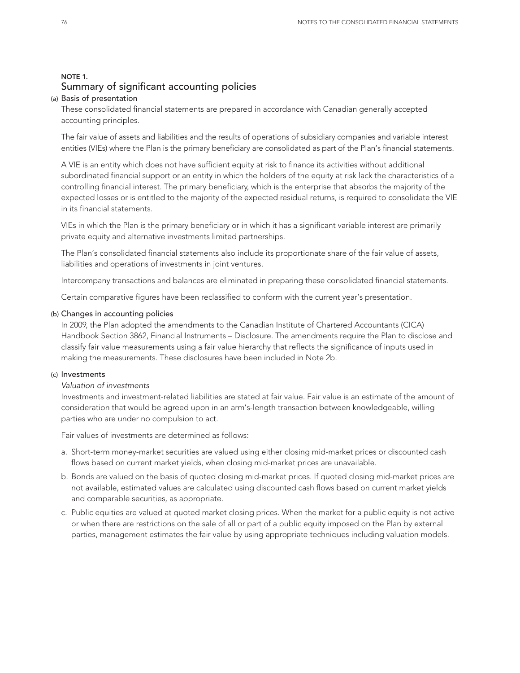## NOTE 1. Summary of significant accounting policies

#### (a) Basis of presentation

These consolidated financial statements are prepared in accordance with Canadian generally accepted accounting principles.

The fair value of assets and liabilities and the results of operations of subsidiary companies and variable interest entities (VIEs) where the Plan is the primary beneficiary are consolidated as part of the Plan's financial statements.

A VIE is an entity which does not have sufficient equity at risk to finance its activities without additional subordinated financial support or an entity in which the holders of the equity at risk lack the characteristics of a controlling financial interest. The primary beneficiary, which is the enterprise that absorbs the majority of the expected losses or is entitled to the majority of the expected residual returns, is required to consolidate the VIE in its financial statements.

VIEs in which the Plan is the primary beneficiary or in which it has a significant variable interest are primarily private equity and alternative investments limited partnerships.

The Plan's consolidated financial statements also include its proportionate share of the fair value of assets, liabilities and operations of investments in joint ventures.

Intercompany transactions and balances are eliminated in preparing these consolidated financial statements.

Certain comparative figures have been reclassified to conform with the current year's presentation.

#### (b) Changes in accounting policies

In 2009, the Plan adopted the amendments to the Canadian Institute of Chartered Accountants (CICA) Handbook Section 3862, Financial Instruments – Disclosure. The amendments require the Plan to disclose and classify fair value measurements using a fair value hierarchy that reflects the significance of inputs used in making the measurements. These disclosures have been included in Note 2b.

#### (c) Investments

### *Valuation of investments*

Investments and investment-related liabilities are stated at fair value. Fair value is an estimate of the amount of consideration that would be agreed upon in an arm's-length transaction between knowledgeable, willing parties who are under no compulsion to act.

Fair values of investments are determined as follows:

- a. Short-term money-market securities are valued using either closing mid-market prices or discounted cash flows based on current market yields, when closing mid-market prices are unavailable.
- b. Bonds are valued on the basis of quoted closing mid-market prices. If quoted closing mid-market prices are not available, estimated values are calculated using discounted cash flows based on current market yields and comparable securities, as appropriate.
- c. Public equities are valued at quoted market closing prices. When the market for a public equity is not active or when there are restrictions on the sale of all or part of a public equity imposed on the Plan by external parties, management estimates the fair value by using appropriate techniques including valuation models.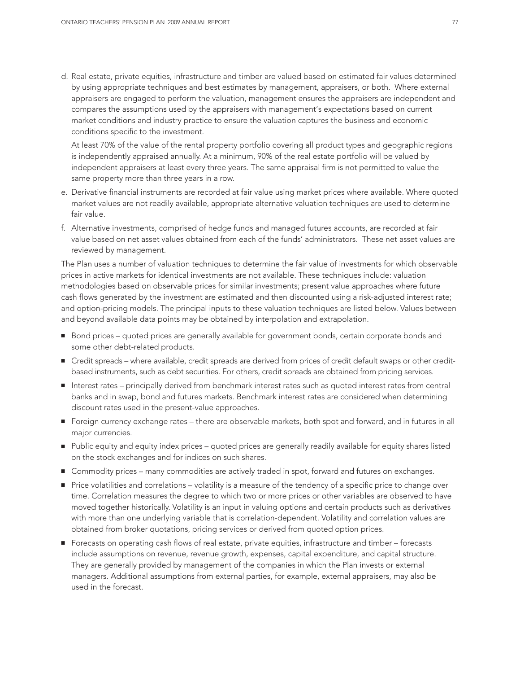d. Real estate, private equities, infrastructure and timber are valued based on estimated fair values determined by using appropriate techniques and best estimates by management, appraisers, or both. Where external appraisers are engaged to perform the valuation, management ensures the appraisers are independent and compares the assumptions used by the appraisers with management's expectations based on current market conditions and industry practice to ensure the valuation captures the business and economic conditions specific to the investment.

At least 70% of the value of the rental property portfolio covering all product types and geographic regions is independently appraised annually. At a minimum, 90% of the real estate portfolio will be valued by independent appraisers at least every three years. The same appraisal firm is not permitted to value the same property more than three years in a row.

- e. Derivative financial instruments are recorded at fair value using market prices where available. Where quoted market values are not readily available, appropriate alternative valuation techniques are used to determine fair value.
- f. Alternative investments, comprised of hedge funds and managed futures accounts, are recorded at fair value based on net asset values obtained from each of the funds' administrators. These net asset values are reviewed by management.

The Plan uses a number of valuation techniques to determine the fair value of investments for which observable prices in active markets for identical investments are not available. These techniques include: valuation methodologies based on observable prices for similar investments; present value approaches where future cash flows generated by the investment are estimated and then discounted using a risk-adjusted interest rate; and option-pricing models. The principal inputs to these valuation techniques are listed below. Values between and beyond available data points may be obtained by interpolation and extrapolation.

- Bond prices quoted prices are generally available for government bonds, certain corporate bonds and some other debt-related products.
- Credit spreads where available, credit spreads are derived from prices of credit default swaps or other creditbased instruments, such as debt securities. For others, credit spreads are obtained from pricing services.
- Interest rates principally derived from benchmark interest rates such as quoted interest rates from central banks and in swap, bond and futures markets. Benchmark interest rates are considered when determining discount rates used in the present-value approaches.
- **■** Foreign currency exchange rates there are observable markets, both spot and forward, and in futures in all major currencies.
- Public equity and equity index prices quoted prices are generally readily available for equity shares listed on the stock exchanges and for indices on such shares.
- Commodity prices many commodities are actively traded in spot, forward and futures on exchanges.
- Price volatilities and correlations volatility is a measure of the tendency of a specific price to change over time. Correlation measures the degree to which two or more prices or other variables are observed to have moved together historically. Volatility is an input in valuing options and certain products such as derivatives with more than one underlying variable that is correlation-dependent. Volatility and correlation values are obtained from broker quotations, pricing services or derived from quoted option prices.
- Forecasts on operating cash flows of real estate, private equities, infrastructure and timber forecasts include assumptions on revenue, revenue growth, expenses, capital expenditure, and capital structure. They are generally provided by management of the companies in which the Plan invests or external managers. Additional assumptions from external parties, for example, external appraisers, may also be used in the forecast.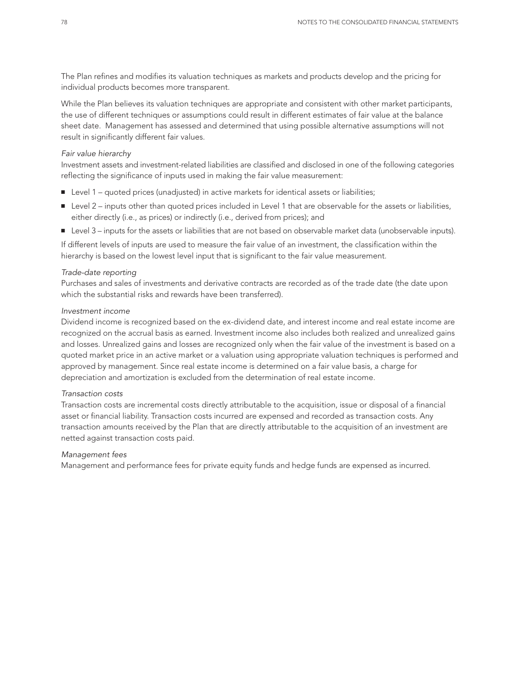The Plan refines and modifies its valuation techniques as markets and products develop and the pricing for individual products becomes more transparent.

While the Plan believes its valuation techniques are appropriate and consistent with other market participants, the use of different techniques or assumptions could result in different estimates of fair value at the balance sheet date. Management has assessed and determined that using possible alternative assumptions will not result in significantly different fair values.

#### *Fair value hierarchy*

Investment assets and investment-related liabilities are classified and disclosed in one of the following categories reflecting the significance of inputs used in making the fair value measurement:

- Level 1 quoted prices (unadjusted) in active markets for identical assets or liabilities;
- Level 2 inputs other than quoted prices included in Level 1 that are observable for the assets or liabilities, either directly (i.e., as prices) or indirectly (i.e., derived from prices); and
- Level 3 inputs for the assets or liabilities that are not based on observable market data (unobservable inputs).

If different levels of inputs are used to measure the fair value of an investment, the classification within the hierarchy is based on the lowest level input that is significant to the fair value measurement.

#### *Trade-date reporting*

Purchases and sales of investments and derivative contracts are recorded as of the trade date (the date upon which the substantial risks and rewards have been transferred).

#### *Investment income*

Dividend income is recognized based on the ex-dividend date, and interest income and real estate income are recognized on the accrual basis as earned. Investment income also includes both realized and unrealized gains and losses. Unrealized gains and losses are recognized only when the fair value of the investment is based on a quoted market price in an active market or a valuation using appropriate valuation techniques is performed and approved by management. Since real estate income is determined on a fair value basis, a charge for depreciation and amortization is excluded from the determination of real estate income.

#### *Transaction costs*

Transaction costs are incremental costs directly attributable to the acquisition, issue or disposal of a financial asset or financial liability. Transaction costs incurred are expensed and recorded as transaction costs. Any transaction amounts received by the Plan that are directly attributable to the acquisition of an investment are netted against transaction costs paid.

#### *Management fees*

Management and performance fees for private equity funds and hedge funds are expensed as incurred.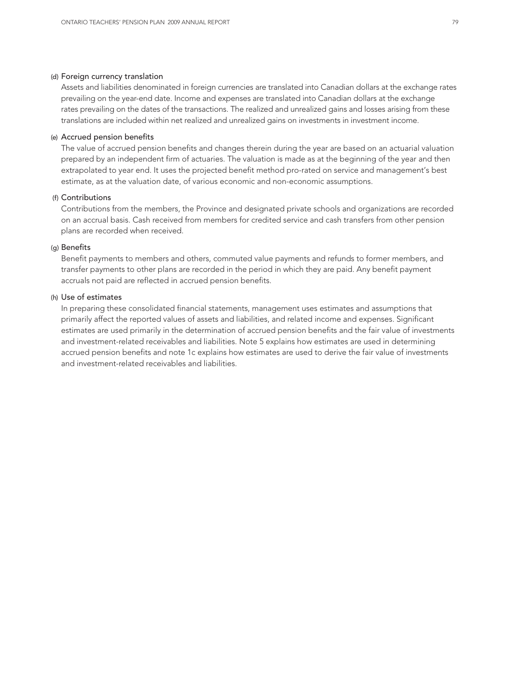#### (d) Foreign currency translation

Assets and liabilities denominated in foreign currencies are translated into Canadian dollars at the exchange rates prevailing on the year-end date. Income and expenses are translated into Canadian dollars at the exchange rates prevailing on the dates of the transactions. The realized and unrealized gains and losses arising from these translations are included within net realized and unrealized gains on investments in investment income.

#### (e) Accrued pension benefits

The value of accrued pension benefits and changes therein during the year are based on an actuarial valuation prepared by an independent firm of actuaries. The valuation is made as at the beginning of the year and then extrapolated to year end. It uses the projected benefit method pro-rated on service and management's best estimate, as at the valuation date, of various economic and non-economic assumptions.

#### (f) Contributions

Contributions from the members, the Province and designated private schools and organizations are recorded on an accrual basis. Cash received from members for credited service and cash transfers from other pension plans are recorded when received.

#### (g) Benefits

Benefit payments to members and others, commuted value payments and refunds to former members, and transfer payments to other plans are recorded in the period in which they are paid. Any benefit payment accruals not paid are reflected in accrued pension benefits.

#### (h) Use of estimates

In preparing these consolidated financial statements, management uses estimates and assumptions that primarily affect the reported values of assets and liabilities, and related income and expenses. Significant estimates are used primarily in the determination of accrued pension benefits and the fair value of investments and investment-related receivables and liabilities. Note 5 explains how estimates are used in determining accrued pension benefits and note 1c explains how estimates are used to derive the fair value of investments and investment-related receivables and liabilities.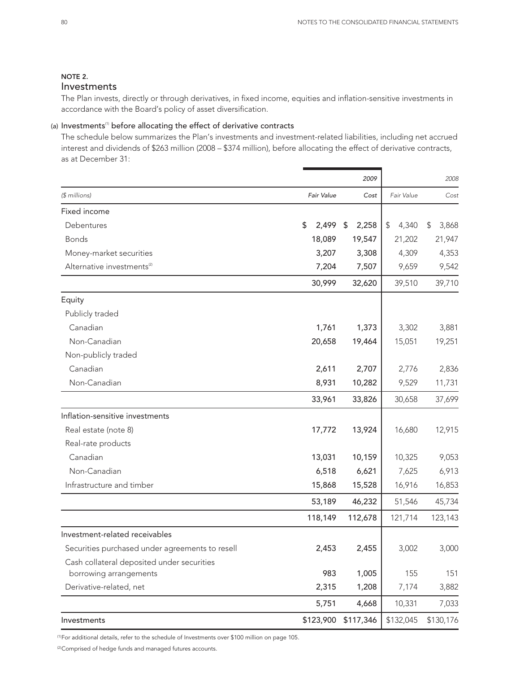## NOTE 2.

## Investments

The Plan invests, directly or through derivatives, in fixed income, equities and inflation-sensitive investments in accordance with the Board's policy of asset diversification.

### (a) Investments<sup>(1)</sup> before allocating the effect of derivative contracts

The schedule below summarizes the Plan's investments and investment-related liabilities, including net accrued interest and dividends of \$263 million (2008 – \$374 million), before allocating the effect of derivative contracts, as at December 31:

|                                                 |             | 2009        |             | 2008        |
|-------------------------------------------------|-------------|-------------|-------------|-------------|
| (\$ millions)                                   | Fair Value  | Cost        | Fair Value  | Cost        |
| Fixed income                                    |             |             |             |             |
| Debentures                                      | \$<br>2,499 | 2,258<br>\$ | \$<br>4,340 | 3,868<br>\$ |
| <b>Bonds</b>                                    | 18,089      | 19,547      | 21,202      | 21,947      |
| Money-market securities                         | 3,207       | 3,308       | 4,309       | 4,353       |
| Alternative investments <sup>(2)</sup>          | 7,204       | 7,507       | 9,659       | 9,542       |
|                                                 | 30,999      | 32,620      | 39,510      | 39,710      |
| Equity                                          |             |             |             |             |
| Publicly traded                                 |             |             |             |             |
| Canadian                                        | 1,761       | 1,373       | 3,302       | 3,881       |
| Non-Canadian                                    | 20,658      | 19,464      | 15,051      | 19,251      |
| Non-publicly traded                             |             |             |             |             |
| Canadian                                        | 2,611       | 2,707       | 2,776       | 2,836       |
| Non-Canadian                                    | 8,931       | 10,282      | 9,529       | 11,731      |
|                                                 | 33,961      | 33,826      | 30,658      | 37,699      |
| Inflation-sensitive investments                 |             |             |             |             |
| Real estate (note 8)                            | 17,772      | 13,924      | 16,680      | 12,915      |
| Real-rate products                              |             |             |             |             |
| Canadian                                        | 13,031      | 10,159      | 10,325      | 9,053       |
| Non-Canadian                                    | 6,518       | 6,621       | 7,625       | 6,913       |
| Infrastructure and timber                       | 15,868      | 15,528      | 16,916      | 16,853      |
|                                                 | 53,189      | 46,232      | 51,546      | 45,734      |
|                                                 | 118,149     | 112,678     | 121,714     | 123,143     |
| Investment-related receivables                  |             |             |             |             |
| Securities purchased under agreements to resell | 2,453       | 2,455       | 3,002       | 3,000       |
| Cash collateral deposited under securities      |             |             |             |             |
| borrowing arrangements                          | 983         | 1,005       | 155         | 151         |
| Derivative-related, net                         | 2,315       | 1,208       | 7,174       | 3,882       |
|                                                 | 5,751       | 4,668       | 10,331      | 7,033       |
| Investments                                     | \$123,900   | \$117,346   | \$132,045   | \$130,176   |

(1)For additional details, refer to the schedule of Investments over \$100 million on page 105.

(2) Comprised of hedge funds and managed futures accounts.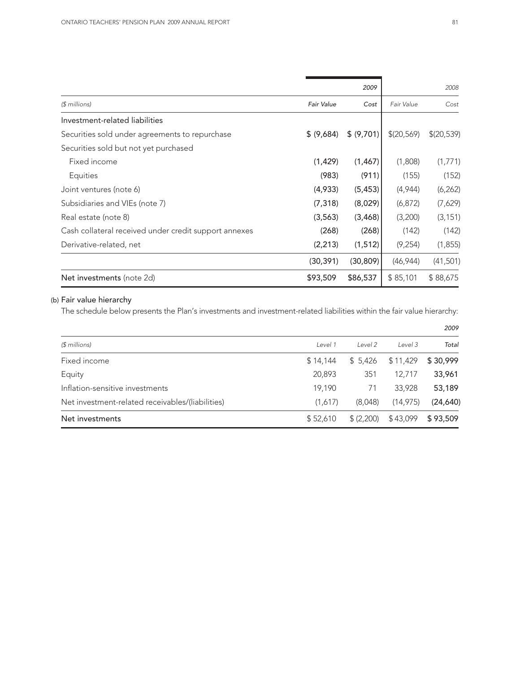|                                                       |            | 2009       |            | 2008       |
|-------------------------------------------------------|------------|------------|------------|------------|
| $$$ millions)                                         | Fair Value | Cost       | Fair Value | Cost       |
| Investment-related liabilities                        |            |            |            |            |
| Securities sold under agreements to repurchase        | \$ (9,684) | \$ (9,701) | \$(20,569) | \$(20,539) |
| Securities sold but not yet purchased                 |            |            |            |            |
| Fixed income                                          | (1, 429)   | (1, 467)   | (1,808)    | (1,771)    |
| Equities                                              | (983)      | (911)      | (155)      | (152)      |
| Joint ventures (note 6)                               | (4,933)    | (5, 453)   | (4,944)    | (6, 262)   |
| Subsidiaries and VIEs (note 7)                        | (7, 318)   | (8,029)    | (6, 872)   | (7,629)    |
| Real estate (note 8)                                  | (3,563)    | (3,468)    | (3,200)    | (3, 151)   |
| Cash collateral received under credit support annexes | (268)      | (268)      | (142)      | (142)      |
| Derivative-related, net                               | (2, 213)   | (1, 512)   | (9,254)    | (1,855)    |
|                                                       | (30,391)   | (30, 809)  | (46, 944)  | (41, 501)  |
| Net investments (note 2d)                             | \$93,509   | \$86,537   | \$85,101   | \$88,675   |

## (b) Fair value hierarchy

The schedule below presents the Plan's investments and investment-related liabilities within the fair value hierarchy:

|                                                  |          |            |           | 2009      |  |
|--------------------------------------------------|----------|------------|-----------|-----------|--|
| $$$ millions)                                    | Level 1  | Level 2    | Level 3   | Total     |  |
| Fixed income                                     | \$14,144 | \$5,426    | \$11,429  | \$30,999  |  |
| Equity                                           | 20,893   | 351        | 12.717    | 33,961    |  |
| Inflation-sensitive investments                  | 19,190   | 71         | 33,928    | 53,189    |  |
| Net investment-related receivables/(liabilities) | (1,617)  | (8,048)    | (14, 975) | (24, 640) |  |
| Net investments                                  | \$52,610 | \$ (2,200) | \$43,099  | \$93,509  |  |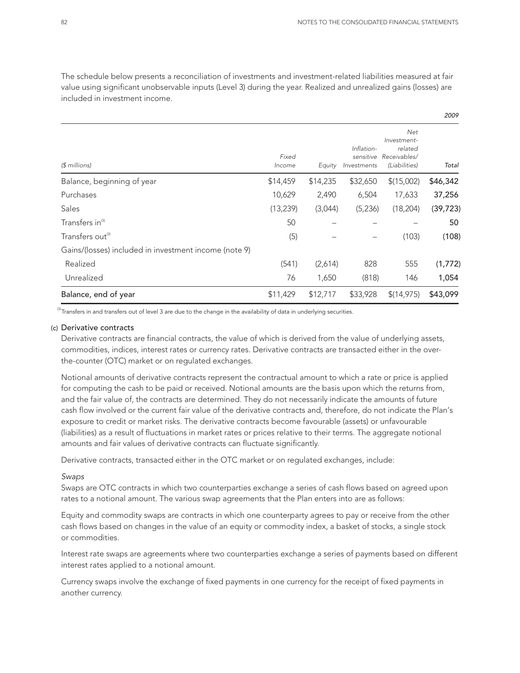*2009*

The schedule below presents a reconciliation of investments and investment-related liabilities measured at fair value using significant unobservable inputs (Level 3) during the year. Realized and unrealized gains (losses) are included in investment income.

|                                                       |                 |          |                                        |                                                                | <b>ZUU7</b> |
|-------------------------------------------------------|-----------------|----------|----------------------------------------|----------------------------------------------------------------|-------------|
| $$$ millions)                                         | Fixed<br>Income | Equity   | Inflation-<br>sensitive<br>Investments | Net<br>Investment-<br>related<br>Receivables/<br>(Liabilities) | Total       |
| Balance, beginning of year                            | \$14,459        | \$14,235 | \$32,650                               | \$(15,002)                                                     | \$46,342    |
| Purchases                                             | 10,629          | 2,490    | 6,504                                  | 17,633                                                         | 37,256      |
| Sales                                                 | (13, 239)       | (3,044)  | (5,236)                                | (18, 204)                                                      | (39, 723)   |
| Transfers in <sup>(3)</sup>                           | 50              |          |                                        |                                                                | 50          |
| Transfers out <sup>(3)</sup>                          | (5)             |          |                                        | (103)                                                          | (108)       |
| Gains/(losses) included in investment income (note 9) |                 |          |                                        |                                                                |             |
| Realized                                              | (541)           | (2,614)  | 828                                    | 555                                                            | (1,772)     |
| Unrealized                                            | 76              | 1,650    | (818)                                  | 146                                                            | 1,054       |
| Balance, end of year                                  | \$11,429        | \$12,717 | \$33,928                               | \$(14,975)                                                     | \$43,099    |

 $^{(3)}$ Transfers in and transfers out of level 3 are due to the change in the availability of data in underlying securities.

#### (c) Derivative contracts

Derivative contracts are financial contracts, the value of which is derived from the value of underlying assets, commodities, indices, interest rates or currency rates. Derivative contracts are transacted either in the overthe-counter (OTC) market or on regulated exchanges.

Notional amounts of derivative contracts represent the contractual amount to which a rate or price is applied for computing the cash to be paid or received. Notional amounts are the basis upon which the returns from, and the fair value of, the contracts are determined. They do not necessarily indicate the amounts of future cash flow involved or the current fair value of the derivative contracts and, therefore, do not indicate the Plan's exposure to credit or market risks. The derivative contracts become favourable (assets) or unfavourable (liabilities) as a result of fluctuations in market rates or prices relative to their terms. The aggregate notional amounts and fair values of derivative contracts can fluctuate significantly.

Derivative contracts, transacted either in the OTC market or on regulated exchanges, include:

#### *Swaps*

Swaps are OTC contracts in which two counterparties exchange a series of cash flows based on agreed upon rates to a notional amount. The various swap agreements that the Plan enters into are as follows:

Equity and commodity swaps are contracts in which one counterparty agrees to pay or receive from the other cash flows based on changes in the value of an equity or commodity index, a basket of stocks, a single stock or commodities.

Interest rate swaps are agreements where two counterparties exchange a series of payments based on different interest rates applied to a notional amount.

Currency swaps involve the exchange of fixed payments in one currency for the receipt of fixed payments in another currency.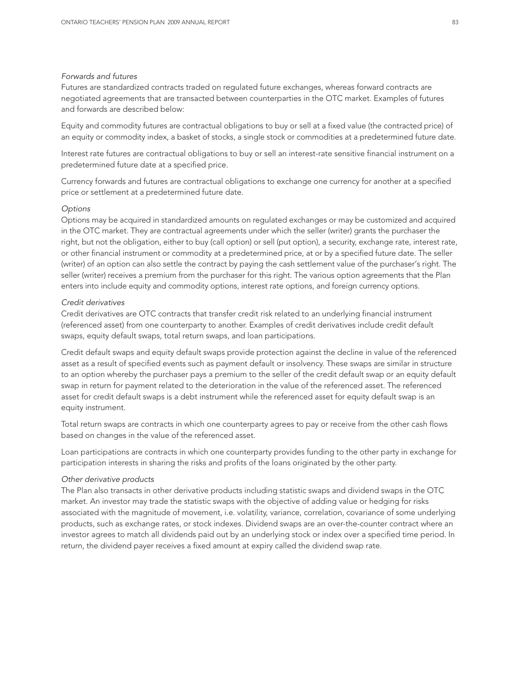#### *Forwards and futures*

Futures are standardized contracts traded on regulated future exchanges, whereas forward contracts are negotiated agreements that are transacted between counterparties in the OTC market. Examples of futures and forwards are described below:

Equity and commodity futures are contractual obligations to buy or sell at a fixed value (the contracted price) of an equity or commodity index, a basket of stocks, a single stock or commodities at a predetermined future date.

Interest rate futures are contractual obligations to buy or sell an interest-rate sensitive financial instrument on a predetermined future date at a specified price.

Currency forwards and futures are contractual obligations to exchange one currency for another at a specified price or settlement at a predetermined future date.

#### *Options*

Options may be acquired in standardized amounts on regulated exchanges or may be customized and acquired in the OTC market. They are contractual agreements under which the seller (writer) grants the purchaser the right, but not the obligation, either to buy (call option) or sell (put option), a security, exchange rate, interest rate, or other financial instrument or commodity at a predetermined price, at or by a specified future date. The seller (writer) of an option can also settle the contract by paying the cash settlement value of the purchaser's right. The seller (writer) receives a premium from the purchaser for this right. The various option agreements that the Plan enters into include equity and commodity options, interest rate options, and foreign currency options.

#### *Credit derivatives*

Credit derivatives are OTC contracts that transfer credit risk related to an underlying financial instrument (referenced asset) from one counterparty to another. Examples of credit derivatives include credit default swaps, equity default swaps, total return swaps, and loan participations.

Credit default swaps and equity default swaps provide protection against the decline in value of the referenced asset as a result of specified events such as payment default or insolvency. These swaps are similar in structure to an option whereby the purchaser pays a premium to the seller of the credit default swap or an equity default swap in return for payment related to the deterioration in the value of the referenced asset. The referenced asset for credit default swaps is a debt instrument while the referenced asset for equity default swap is an equity instrument.

Total return swaps are contracts in which one counterparty agrees to pay or receive from the other cash flows based on changes in the value of the referenced asset.

Loan participations are contracts in which one counterparty provides funding to the other party in exchange for participation interests in sharing the risks and profits of the loans originated by the other party.

#### *Other derivative products*

The Plan also transacts in other derivative products including statistic swaps and dividend swaps in the OTC market. An investor may trade the statistic swaps with the objective of adding value or hedging for risks associated with the magnitude of movement, i.e. volatility, variance, correlation, covariance of some underlying products, such as exchange rates, or stock indexes. Dividend swaps are an over-the-counter contract where an investor agrees to match all dividends paid out by an underlying stock or index over a specified time period. In return, the dividend payer receives a fixed amount at expiry called the dividend swap rate.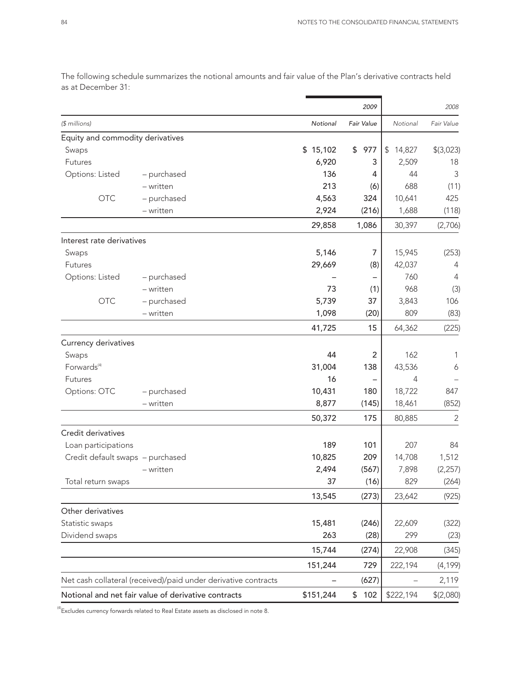|                                  |                                                                |           | 2009       |                         | 2008           |
|----------------------------------|----------------------------------------------------------------|-----------|------------|-------------------------|----------------|
| (\$ millions)                    |                                                                | Notional  | Fair Value | Notional                | Fair Value     |
| Equity and commodity derivatives |                                                                |           |            |                         |                |
| Swaps                            |                                                                | \$15,102  | \$<br>977  | $\frac{1}{2}$<br>14,827 | \$(3,023)      |
| Futures                          |                                                                | 6,920     | 3          | 2,509                   | 18             |
| Options: Listed                  | - purchased                                                    | 136       | 4          | 44                      | 3              |
|                                  | $-$ written                                                    | 213       | (6)        | 688                     | (11)           |
| <b>OTC</b>                       | - purchased                                                    | 4,563     | 324        | 10,641                  | 425            |
|                                  | - written                                                      | 2,924     | (216)      | 1,688                   | (118)          |
|                                  |                                                                | 29,858    | 1,086      | 30,397                  | (2,706)        |
| Interest rate derivatives        |                                                                |           |            |                         |                |
| Swaps                            |                                                                | 5,146     | 7          | 15,945                  | (253)          |
| Futures                          |                                                                | 29,669    | (8)        | 42,037                  | 4              |
| Options: Listed                  | - purchased                                                    |           |            | 760                     | 4              |
|                                  | - written                                                      | 73        | (1)        | 968                     | (3)            |
| <b>OTC</b>                       | - purchased                                                    | 5,739     | 37         | 3,843                   | 106            |
|                                  | - written                                                      | 1,098     | (20)       | 809                     | (83)           |
|                                  |                                                                | 41,725    | 15         | 64,362                  | (225)          |
| Currency derivatives             |                                                                |           |            |                         |                |
| Swaps                            |                                                                | 44        | 2          | 162                     | 1              |
| Forwards <sup>(4)</sup>          |                                                                | 31,004    | 138        | 43,536                  | 6              |
| Futures                          |                                                                | 16        |            | 4                       |                |
| Options: OTC                     | - purchased                                                    | 10,431    | 180        | 18,722                  | 847            |
|                                  | - written                                                      | 8,877     | (145)      | 18,461                  | (852)          |
|                                  |                                                                | 50,372    | 175        | 80,885                  | $\overline{2}$ |
| Credit derivatives               |                                                                |           |            |                         |                |
| Loan participations              |                                                                | 189       | 101        | 207                     | 84             |
| Credit default swaps - purchased |                                                                | 10,825    | 209        | 14,708                  | 1,512          |
|                                  | - written                                                      | 2,494     | (567)      | 7,898                   | (2, 257)       |
| Total return swaps               |                                                                | 37        | (16)       | 829                     | (264)          |
|                                  |                                                                | 13,545    | (273)      | 23,642                  | (925)          |
| Other derivatives                |                                                                |           |            |                         |                |
| Statistic swaps                  |                                                                | 15,481    | (246)      | 22,609                  | (322)          |
| Dividend swaps                   |                                                                | 263       | (28)       | 299                     | (23)           |
|                                  |                                                                | 15,744    | (274)      | 22,908                  | (345)          |
|                                  |                                                                | 151,244   | 729        | 222,194                 | (4, 199)       |
|                                  | Net cash collateral (received)/paid under derivative contracts |           | (627)      |                         | 2,119          |
|                                  | Notional and net fair value of derivative contracts            | \$151,244 | \$102      | \$222,194               | \$(2,080)      |

The following schedule summarizes the notional amounts and fair value of the Plan's derivative contracts held as at December 31:

 $^{(4)}$ Excludes currency forwards related to Real Estate assets as disclosed in note 8.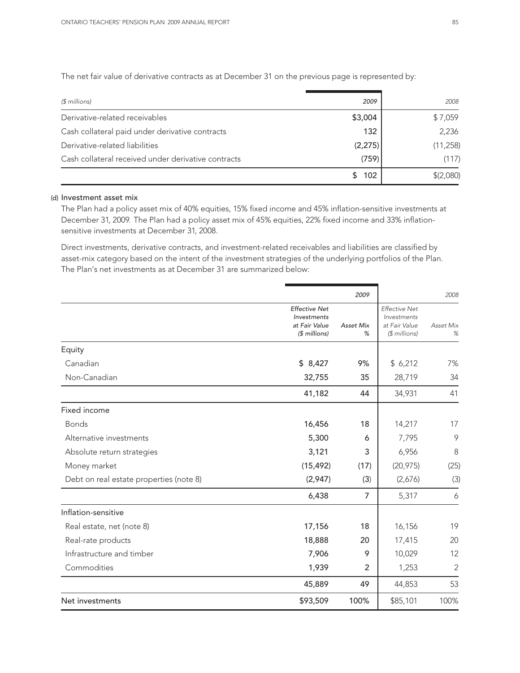The net fair value of derivative contracts as at December 31 on the previous page is represented by:

| $$$ millions)                                       | 2009    | 2008      |
|-----------------------------------------------------|---------|-----------|
| Derivative-related receivables                      | \$3,004 | \$7,059   |
| Cash collateral paid under derivative contracts     | 132     | 2,236     |
| Derivative-related liabilities                      | (2,275) | (11, 258) |
| Cash collateral received under derivative contracts | (759)   | (117)     |
|                                                     | 102     | \$(2,080) |

#### (d) Investment asset mix

The Plan had a policy asset mix of 40% equities, 15% fixed income and 45% inflation-sensitive investments at December 31, 2009. The Plan had a policy asset mix of 45% equities, 22% fixed income and 33% inflationsensitive investments at December 31, 2008.

Direct investments, derivative contracts, and investment-related receivables and liabilities are classified by asset-mix category based on the intent of the investment strategies of the underlying portfolios of the Plan. The Plan's net investments as at December 31 are summarized below:

|                                         |                                                                       | 2009                  |                                                                       | 2008           |
|-----------------------------------------|-----------------------------------------------------------------------|-----------------------|-----------------------------------------------------------------------|----------------|
|                                         | <b>Effective Net</b><br>Investments<br>at Fair Value<br>$$$ millions) | <b>Asset Mix</b><br>% | <b>Effective Net</b><br>Investments<br>at Fair Value<br>(\$ millions) | Asset Mix<br>% |
| Equity                                  |                                                                       |                       |                                                                       |                |
| Canadian                                | \$8,427                                                               | 9%                    | \$6,212                                                               | 7%             |
| Non-Canadian                            | 32,755                                                                | 35                    | 28,719                                                                | 34             |
|                                         | 41,182                                                                | 44                    | 34,931                                                                | 41             |
| Fixed income                            |                                                                       |                       |                                                                       |                |
| <b>Bonds</b>                            | 16,456                                                                | 18                    | 14,217                                                                | 17             |
| Alternative investments                 | 5,300                                                                 | 6                     | 7,795                                                                 | 9              |
| Absolute return strategies              | 3,121                                                                 | 3                     | 6,956                                                                 | 8              |
| Money market                            | (15, 492)                                                             | (17)                  | (20, 975)                                                             | (25)           |
| Debt on real estate properties (note 8) | (2,947)                                                               | (3)                   | (2,676)                                                               | (3)            |
|                                         | 6,438                                                                 | 7                     | 5,317                                                                 | 6              |
| Inflation-sensitive                     |                                                                       |                       |                                                                       |                |
| Real estate, net (note 8)               | 17,156                                                                | 18                    | 16,156                                                                | 19             |
| Real-rate products                      | 18,888                                                                | 20                    | 17,415                                                                | 20             |
| Infrastructure and timber               | 7,906                                                                 | 9                     | 10,029                                                                | 12             |
| Commodities                             | 1,939                                                                 | $\overline{2}$        | 1,253                                                                 | $\overline{2}$ |
|                                         | 45,889                                                                | 49                    | 44,853                                                                | 53             |
| Net investments                         | \$93,509                                                              | 100%                  | \$85,101                                                              | 100%           |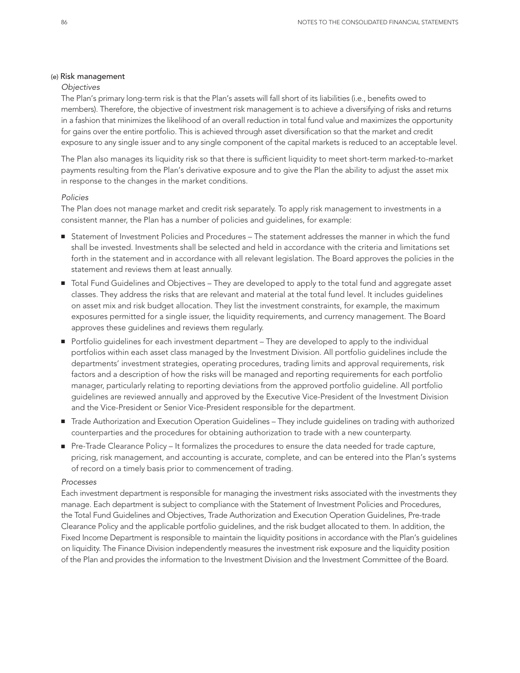#### (e) Risk management

#### *Objectives*

The Plan's primary long-term risk is that the Plan's assets will fall short of its liabilities (i.e., benefits owed to members). Therefore, the objective of investment risk management is to achieve a diversifying of risks and returns in a fashion that minimizes the likelihood of an overall reduction in total fund value and maximizes the opportunity for gains over the entire portfolio. This is achieved through asset diversification so that the market and credit exposure to any single issuer and to any single component of the capital markets is reduced to an acceptable level.

The Plan also manages its liquidity risk so that there is sufficient liquidity to meet short-term marked-to-market payments resulting from the Plan's derivative exposure and to give the Plan the ability to adjust the asset mix in response to the changes in the market conditions.

#### *Policies*

The Plan does not manage market and credit risk separately. To apply risk management to investments in a consistent manner, the Plan has a number of policies and guidelines, for example:

- Statement of Investment Policies and Procedures The statement addresses the manner in which the fund shall be invested. Investments shall be selected and held in accordance with the criteria and limitations set forth in the statement and in accordance with all relevant legislation. The Board approves the policies in the statement and reviews them at least annually.
- Total Fund Guidelines and Objectives They are developed to apply to the total fund and aggregate asset classes. They address the risks that are relevant and material at the total fund level. It includes guidelines on asset mix and risk budget allocation. They list the investment constraints, for example, the maximum exposures permitted for a single issuer, the liquidity requirements, and currency management. The Board approves these guidelines and reviews them regularly.
- Portfolio guidelines for each investment department They are developed to apply to the individual portfolios within each asset class managed by the Investment Division. All portfolio guidelines include the departments' investment strategies, operating procedures, trading limits and approval requirements, risk factors and a description of how the risks will be managed and reporting requirements for each portfolio manager, particularly relating to reporting deviations from the approved portfolio guideline. All portfolio guidelines are reviewed annually and approved by the Executive Vice-President of the Investment Division and the Vice-President or Senior Vice-President responsible for the department.
- Trade Authorization and Execution Operation Guidelines They include guidelines on trading with authorized counterparties and the procedures for obtaining authorization to trade with a new counterparty.
- Pre-Trade Clearance Policy It formalizes the procedures to ensure the data needed for trade capture, pricing, risk management, and accounting is accurate, complete, and can be entered into the Plan's systems of record on a timely basis prior to commencement of trading.

#### *Processes*

Each investment department is responsible for managing the investment risks associated with the investments they manage. Each department is subject to compliance with the Statement of Investment Policies and Procedures, the Total Fund Guidelines and Objectives, Trade Authorization and Execution Operation Guidelines, Pre-trade Clearance Policy and the applicable portfolio guidelines, and the risk budget allocated to them. In addition, the Fixed Income Department is responsible to maintain the liquidity positions in accordance with the Plan's guidelines on liquidity. The Finance Division independently measures the investment risk exposure and the liquidity position of the Plan and provides the information to the Investment Division and the Investment Committee of the Board.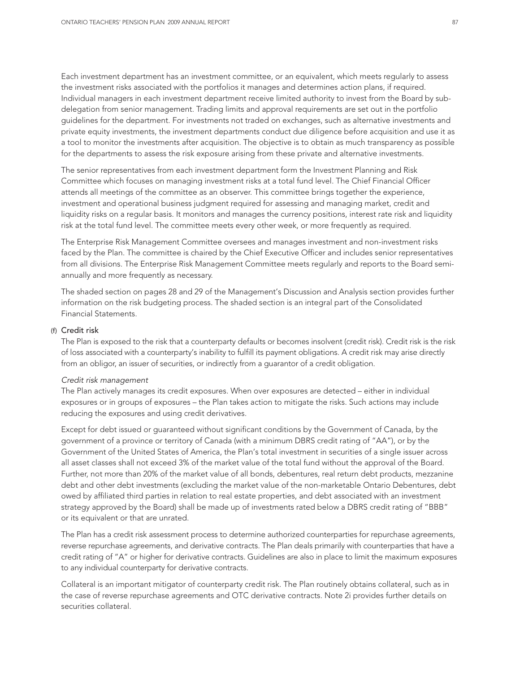Each investment department has an investment committee, or an equivalent, which meets regularly to assess the investment risks associated with the portfolios it manages and determines action plans, if required. Individual managers in each investment department receive limited authority to invest from the Board by subdelegation from senior management. Trading limits and approval requirements are set out in the portfolio guidelines for the department. For investments not traded on exchanges, such as alternative investments and private equity investments, the investment departments conduct due diligence before acquisition and use it as a tool to monitor the investments after acquisition. The objective is to obtain as much transparency as possible for the departments to assess the risk exposure arising from these private and alternative investments.

The senior representatives from each investment department form the Investment Planning and Risk Committee which focuses on managing investment risks at a total fund level. The Chief Financial Officer attends all meetings of the committee as an observer. This committee brings together the experience, investment and operational business judgment required for assessing and managing market, credit and liquidity risks on a regular basis. It monitors and manages the currency positions, interest rate risk and liquidity risk at the total fund level. The committee meets every other week, or more frequently as required.

The Enterprise Risk Management Committee oversees and manages investment and non-investment risks faced by the Plan. The committee is chaired by the Chief Executive Officer and includes senior representatives from all divisions. The Enterprise Risk Management Committee meets regularly and reports to the Board semiannually and more frequently as necessary.

The shaded section on pages 28 and 29 of the Management's Discussion and Analysis section provides further information on the risk budgeting process. The shaded section is an integral part of the Consolidated Financial Statements.

#### (f) Credit risk

The Plan is exposed to the risk that a counterparty defaults or becomes insolvent (credit risk). Credit risk is the risk of loss associated with a counterparty's inability to fulfill its payment obligations. A credit risk may arise directly from an obligor, an issuer of securities, or indirectly from a guarantor of a credit obligation.

#### *Credit risk management*

The Plan actively manages its credit exposures. When over exposures are detected – either in individual exposures or in groups of exposures – the Plan takes action to mitigate the risks. Such actions may include reducing the exposures and using credit derivatives.

Except for debt issued or guaranteed without significant conditions by the Government of Canada, by the government of a province or territory of Canada (with a minimum DBRS credit rating of "AA"), or by the Government of the United States of America, the Plan's total investment in securities of a single issuer across all asset classes shall not exceed 3% of the market value of the total fund without the approval of the Board. Further, not more than 20% of the market value of all bonds, debentures, real return debt products, mezzanine debt and other debt investments (excluding the market value of the non-marketable Ontario Debentures, debt owed by affiliated third parties in relation to real estate properties, and debt associated with an investment strategy approved by the Board) shall be made up of investments rated below a DBRS credit rating of "BBB" or its equivalent or that are unrated.

The Plan has a credit risk assessment process to determine authorized counterparties for repurchase agreements, reverse repurchase agreements, and derivative contracts. The Plan deals primarily with counterparties that have a credit rating of "A" or higher for derivative contracts. Guidelines are also in place to limit the maximum exposures to any individual counterparty for derivative contracts.

Collateral is an important mitigator of counterparty credit risk. The Plan routinely obtains collateral, such as in the case of reverse repurchase agreements and OTC derivative contracts. Note 2i provides further details on securities collateral.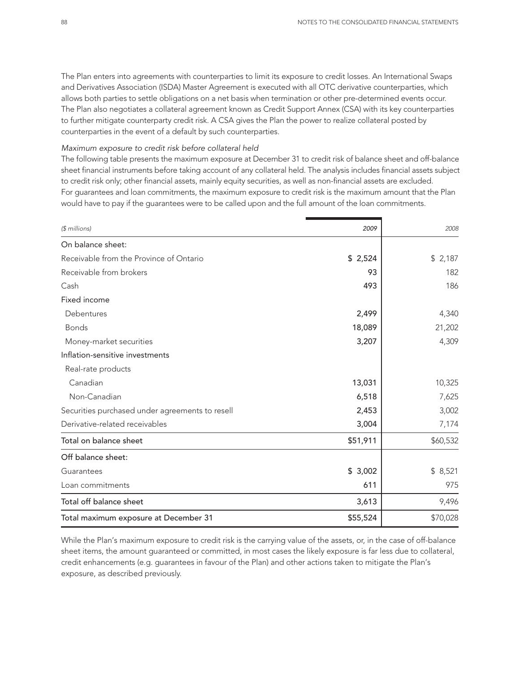The Plan enters into agreements with counterparties to limit its exposure to credit losses. An International Swaps and Derivatives Association (ISDA) Master Agreement is executed with all OTC derivative counterparties, which allows both parties to settle obligations on a net basis when termination or other pre-determined events occur. The Plan also negotiates a collateral agreement known as Credit Support Annex (CSA) with its key counterparties to further mitigate counterparty credit risk. A CSA gives the Plan the power to realize collateral posted by counterparties in the event of a default by such counterparties.

#### *Maximum exposure to credit risk before collateral held*

The following table presents the maximum exposure at December 31 to credit risk of balance sheet and off-balance sheet financial instruments before taking account of any collateral held. The analysis includes financial assets subject to credit risk only; other financial assets, mainly equity securities, as well as non-financial assets are excluded. For guarantees and loan commitments, the maximum exposure to credit risk is the maximum amount that the Plan would have to pay if the guarantees were to be called upon and the full amount of the loan commitments.

| (\$ millions)                                   | 2009     | 2008     |
|-------------------------------------------------|----------|----------|
| On balance sheet:                               |          |          |
| Receivable from the Province of Ontario         | \$2,524  | \$2,187  |
| Receivable from brokers                         | 93       | 182      |
| Cash                                            | 493      | 186      |
| Fixed income                                    |          |          |
| Debentures                                      | 2,499    | 4,340    |
| <b>Bonds</b>                                    | 18,089   | 21,202   |
| Money-market securities                         | 3,207    | 4,309    |
| Inflation-sensitive investments                 |          |          |
| Real-rate products                              |          |          |
| Canadian                                        | 13,031   | 10,325   |
| Non-Canadian                                    | 6,518    | 7,625    |
| Securities purchased under agreements to resell | 2,453    | 3,002    |
| Derivative-related receivables                  | 3,004    | 7,174    |
| Total on balance sheet                          | \$51,911 | \$60,532 |
| Off balance sheet:                              |          |          |
| Guarantees                                      | \$3,002  | \$8,521  |
| Loan commitments                                | 611      | 975      |
| Total off balance sheet                         | 3,613    | 9,496    |
| Total maximum exposure at December 31           | \$55,524 | \$70,028 |

While the Plan's maximum exposure to credit risk is the carrying value of the assets, or, in the case of off-balance sheet items, the amount guaranteed or committed, in most cases the likely exposure is far less due to collateral, credit enhancements (e.g. guarantees in favour of the Plan) and other actions taken to mitigate the Plan's exposure, as described previously.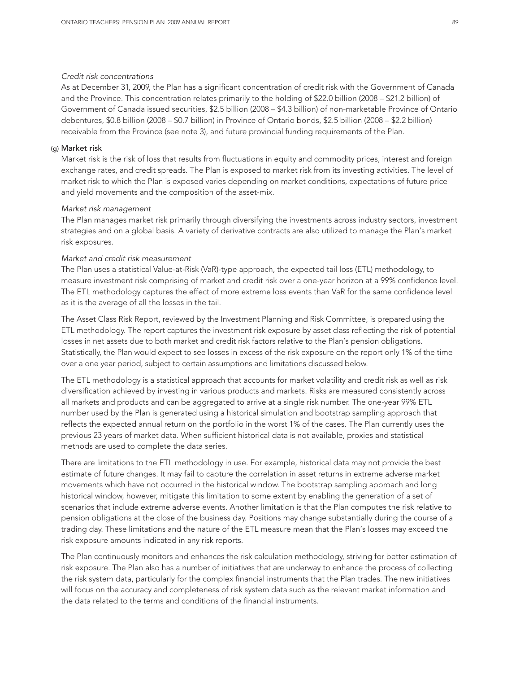#### *Credit risk concentrations*

As at December 31, 2009, the Plan has a significant concentration of credit risk with the Government of Canada and the Province. This concentration relates primarily to the holding of \$22.0 billion (2008 – \$21.2 billion) of Government of Canada issued securities, \$2.5 billion (2008 – \$4.3 billion) of non-marketable Province of Ontario debentures, \$0.8 billion (2008 – \$0.7 billion) in Province of Ontario bonds, \$2.5 billion (2008 – \$2.2 billion) receivable from the Province (see note 3), and future provincial funding requirements of the Plan.

#### (g) Market risk

Market risk is the risk of loss that results from fluctuations in equity and commodity prices, interest and foreign exchange rates, and credit spreads. The Plan is exposed to market risk from its investing activities. The level of market risk to which the Plan is exposed varies depending on market conditions, expectations of future price and yield movements and the composition of the asset-mix.

#### *Market risk management*

The Plan manages market risk primarily through diversifying the investments across industry sectors, investment strategies and on a global basis. A variety of derivative contracts are also utilized to manage the Plan's market risk exposures.

#### *Market and credit risk measurement*

The Plan uses a statistical Value-at-Risk (VaR)-type approach, the expected tail loss (ETL) methodology, to measure investment risk comprising of market and credit risk over a one-year horizon at a 99% confidence level. The ETL methodology captures the effect of more extreme loss events than VaR for the same confidence level as it is the average of all the losses in the tail.

The Asset Class Risk Report, reviewed by the Investment Planning and Risk Committee, is prepared using the ETL methodology. The report captures the investment risk exposure by asset class reflecting the risk of potential losses in net assets due to both market and credit risk factors relative to the Plan's pension obligations. Statistically, the Plan would expect to see losses in excess of the risk exposure on the report only 1% of the time over a one year period, subject to certain assumptions and limitations discussed below.

The ETL methodology is a statistical approach that accounts for market volatility and credit risk as well as risk diversification achieved by investing in various products and markets. Risks are measured consistently across all markets and products and can be aggregated to arrive at a single risk number. The one-year 99% ETL number used by the Plan is generated using a historical simulation and bootstrap sampling approach that reflects the expected annual return on the portfolio in the worst 1% of the cases. The Plan currently uses the previous 23 years of market data. When sufficient historical data is not available, proxies and statistical methods are used to complete the data series.

There are limitations to the ETL methodology in use. For example, historical data may not provide the best estimate of future changes. It may fail to capture the correlation in asset returns in extreme adverse market movements which have not occurred in the historical window. The bootstrap sampling approach and long historical window, however, mitigate this limitation to some extent by enabling the generation of a set of scenarios that include extreme adverse events. Another limitation is that the Plan computes the risk relative to pension obligations at the close of the business day. Positions may change substantially during the course of a trading day. These limitations and the nature of the ETL measure mean that the Plan's losses may exceed the risk exposure amounts indicated in any risk reports.

The Plan continuously monitors and enhances the risk calculation methodology, striving for better estimation of risk exposure. The Plan also has a number of initiatives that are underway to enhance the process of collecting the risk system data, particularly for the complex financial instruments that the Plan trades. The new initiatives will focus on the accuracy and completeness of risk system data such as the relevant market information and the data related to the terms and conditions of the financial instruments.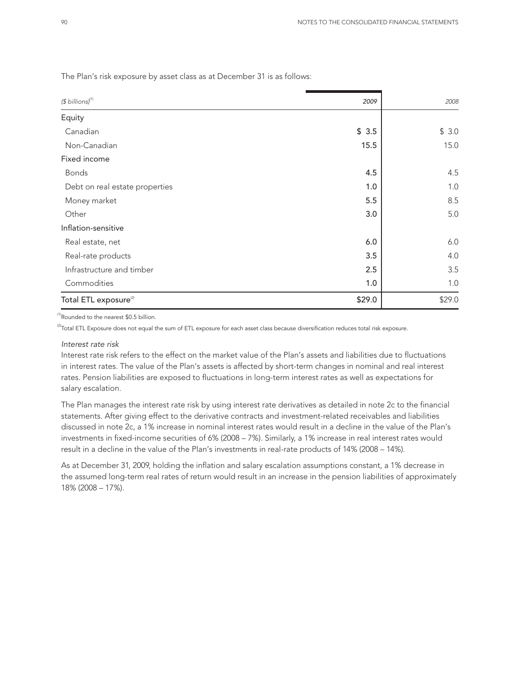| $$$ billions) <sup>(1)</sup>      | 2009   | 2008   |
|-----------------------------------|--------|--------|
| Equity                            |        |        |
| Canadian                          | \$3.5  | \$3.0  |
| Non-Canadian                      | 15.5   | 15.0   |
| Fixed income                      |        |        |
| <b>Bonds</b>                      | 4.5    | 4.5    |
| Debt on real estate properties    | 1.0    | 1.0    |
| Money market                      | 5.5    | 8.5    |
| Other                             | 3.0    | 5.0    |
| Inflation-sensitive               |        |        |
| Real estate, net                  | 6.0    | 6.0    |
| Real-rate products                | 3.5    | 4.0    |
| Infrastructure and timber         | 2.5    | 3.5    |
| Commodities                       | 1.0    | 1.0    |
| Total ETL exposure <sup>(2)</sup> | \$29.0 | \$29.0 |

The Plan's risk exposure by asset class as at December 31 is as follows:

(1)Rounded to the nearest \$0.5 billion.

 $^{(2)}$ Total ETL Exposure does not equal the sum of ETL exposure for each asset class because diversification reduces total risk exposure.

#### *Interest rate risk*

Interest rate risk refers to the effect on the market value of the Plan's assets and liabilities due to fluctuations in interest rates. The value of the Plan's assets is affected by short-term changes in nominal and real interest rates. Pension liabilities are exposed to fluctuations in long-term interest rates as well as expectations for salary escalation.

The Plan manages the interest rate risk by using interest rate derivatives as detailed in note 2c to the financial statements. After giving effect to the derivative contracts and investment-related receivables and liabilities discussed in note 2c, a 1% increase in nominal interest rates would result in a decline in the value of the Plan's investments in fixed-income securities of 6% (2008 – 7%). Similarly, a 1% increase in real interest rates would result in a decline in the value of the Plan's investments in real-rate products of 14% (2008 – 14%).

As at December 31, 2009, holding the inflation and salary escalation assumptions constant, a 1% decrease in the assumed long-term real rates of return would result in an increase in the pension liabilities of approximately 18% (2008 – 17%).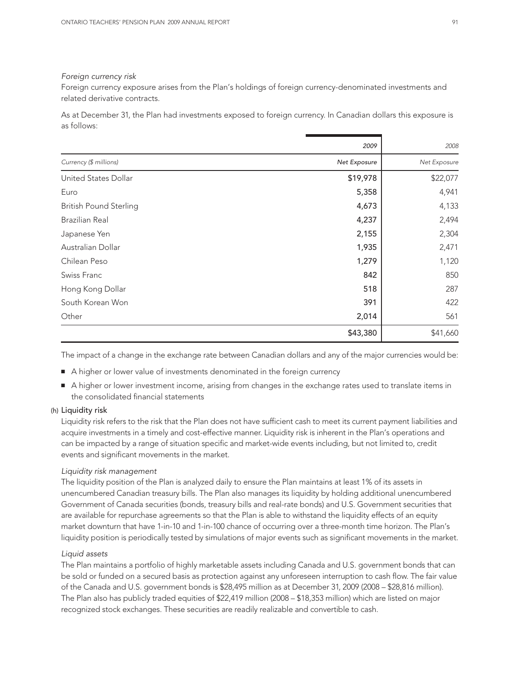#### *Foreign currency risk*

Foreign currency exposure arises from the Plan's holdings of foreign currency-denominated investments and related derivative contracts.

As at December 31, the Plan had investments exposed to foreign currency. In Canadian dollars this exposure is as follows:

|                               | 2009         | 2008         |
|-------------------------------|--------------|--------------|
| Currency (\$ millions)        | Net Exposure | Net Exposure |
| United States Dollar          | \$19,978     | \$22,077     |
| Euro                          | 5,358        | 4,941        |
| <b>British Pound Sterling</b> | 4,673        | 4,133        |
| Brazilian Real                | 4,237        | 2,494        |
| Japanese Yen                  | 2,155        | 2,304        |
| Australian Dollar             | 1,935        | 2,471        |
| Chilean Peso                  | 1,279        | 1,120        |
| Swiss Franc                   | 842          | 850          |
| Hong Kong Dollar              | 518          | 287          |
| South Korean Won              | 391          | 422          |
| Other                         | 2,014        | 561          |
|                               | \$43,380     | \$41,660     |

The impact of a change in the exchange rate between Canadian dollars and any of the major currencies would be:

- A higher or lower value of investments denominated in the foreign currency
- A higher or lower investment income, arising from changes in the exchange rates used to translate items in the consolidated financial statements

#### (h) Liquidity risk

Liquidity risk refers to the risk that the Plan does not have sufficient cash to meet its current payment liabilities and acquire investments in a timely and cost-effective manner. Liquidity risk is inherent in the Plan's operations and can be impacted by a range of situation specific and market-wide events including, but not limited to, credit events and significant movements in the market.

#### *Liquidity risk management*

The liquidity position of the Plan is analyzed daily to ensure the Plan maintains at least 1% of its assets in unencumbered Canadian treasury bills. The Plan also manages its liquidity by holding additional unencumbered Government of Canada securities (bonds, treasury bills and real-rate bonds) and U.S. Government securities that are available for repurchase agreements so that the Plan is able to withstand the liquidity effects of an equity market downturn that have 1-in-10 and 1-in-100 chance of occurring over a three-month time horizon. The Plan's liquidity position is periodically tested by simulations of major events such as significant movements in the market.

#### *Liquid assets*

The Plan maintains a portfolio of highly marketable assets including Canada and U.S. government bonds that can be sold or funded on a secured basis as protection against any unforeseen interruption to cash flow. The fair value of the Canada and U.S. government bonds is \$28,495 million as at December 31, 2009 (2008 – \$28,816 million). The Plan also has publicly traded equities of \$22,419 million (2008 – \$18,353 million) which are listed on major recognized stock exchanges. These securities are readily realizable and convertible to cash.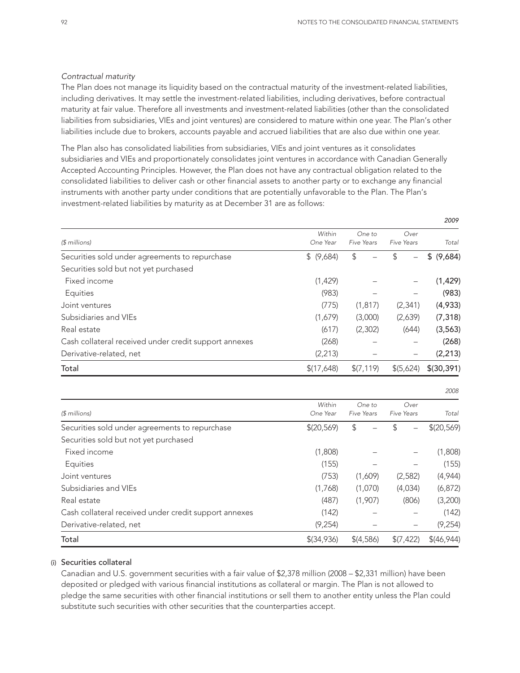*2009*

#### *Contractual maturity*

The Plan does not manage its liquidity based on the contractual maturity of the investment-related liabilities, including derivatives. It may settle the investment-related liabilities, including derivatives, before contractual maturity at fair value. Therefore all investments and investment-related liabilities (other than the consolidated liabilities from subsidiaries, VIEs and joint ventures) are considered to mature within one year. The Plan's other liabilities include due to brokers, accounts payable and accrued liabilities that are also due within one year.

The Plan also has consolidated liabilities from subsidiaries, VIEs and joint ventures as it consolidates subsidiaries and VIEs and proportionately consolidates joint ventures in accordance with Canadian Generally Accepted Accounting Principles. However, the Plan does not have any contractual obligation related to the consolidated liabilities to deliver cash or other financial assets to another party or to exchange any financial instruments with another party under conditions that are potentially unfavorable to the Plan. The Plan's investment-related liabilities by maturity as at December 31 are as follows:

| $$$ millions)                                         | Within<br>One Year | One to<br><b>Five Years</b> | Over<br>Five Years        | Total         |
|-------------------------------------------------------|--------------------|-----------------------------|---------------------------|---------------|
| Securities sold under agreements to repurchase        | \$ (9,684)         | \$                          | \$                        | \$<br>(9,684) |
| Securities sold but not yet purchased                 |                    |                             |                           |               |
| Fixed income                                          | (1, 429)           |                             |                           | (1, 429)      |
| Equities                                              | (983)              |                             |                           | (983)         |
| Joint ventures                                        | (775)              | (1, 817)                    | (2, 341)                  | (4,933)       |
| Subsidiaries and VIEs                                 | (1,679)            | (3,000)                     | (2,639)                   | (7, 318)      |
| Real estate                                           | (617)              | (2,302)                     | (644)                     | (3, 563)      |
| Cash collateral received under credit support annexes | (268)              |                             |                           | (268)         |
| Derivative-related, net                               | (2, 213)           |                             | -                         | (2, 213)      |
| Total                                                 | \$(17,648)         | \$(7, 119)                  | \$(5,624)                 | \$(30, 391)   |
|                                                       |                    |                             |                           | 2008          |
| $$$ millions)                                         | Within<br>One Year | One to<br><b>Five Years</b> | Over<br><b>Five Years</b> | Total         |
| Securities sold under agreements to repurchase        | \$(20, 569)        | \$                          | \$                        | \$(20, 569)   |
| Securities sold but not yet purchased                 |                    |                             |                           |               |
| Fixed income                                          | (1,808)            |                             |                           | (1,808)       |
| Equities                                              | (155)              |                             |                           | (155)         |
| Joint ventures                                        | (753)              | (1,609)                     | (2,582)                   | (4,944)       |
| Subsidiaries and VIEs                                 | (1,768)            | (1,070)                     | (4,034)                   | (6, 872)      |
| Real estate                                           | (487)              | (1,907)                     | (806)                     | (3,200)       |
| Cash collateral received under credit support annexes | (142)              |                             |                           | (142)         |
| Derivative-related, net                               | (9, 254)           |                             | -                         | (9, 254)      |
| Total                                                 | $$$ (34,936)       | \$(4,586)                   | \$(7, 422)                | \$(46, 944)   |

#### (i) Securities collateral

Canadian and U.S. government securities with a fair value of \$2,378 million (2008 – \$2,331 million) have been deposited or pledged with various financial institutions as collateral or margin. The Plan is not allowed to pledge the same securities with other financial institutions or sell them to another entity unless the Plan could substitute such securities with other securities that the counterparties accept.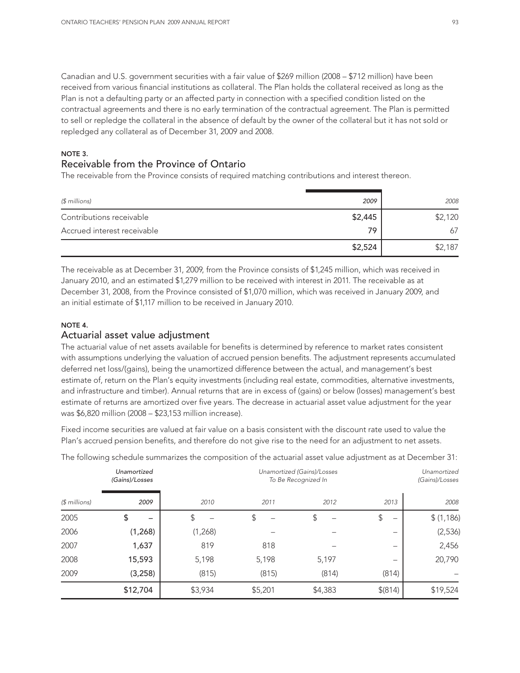Canadian and U.S. government securities with a fair value of \$269 million (2008 – \$712 million) have been received from various financial institutions as collateral. The Plan holds the collateral received as long as the Plan is not a defaulting party or an affected party in connection with a specified condition listed on the contractual agreements and there is no early termination of the contractual agreement. The Plan is permitted to sell or repledge the collateral in the absence of default by the owner of the collateral but it has not sold or repledged any collateral as of December 31, 2009 and 2008.

#### NOTE 3.

## Receivable from the Province of Ontario

The receivable from the Province consists of required matching contributions and interest thereon.

| (\$ millions)               | 2009    | 2008    |
|-----------------------------|---------|---------|
| Contributions receivable    | \$2,445 | \$2,120 |
| Accrued interest receivable | 79      | 67      |
|                             | \$2,524 | \$2,187 |

The receivable as at December 31, 2009, from the Province consists of \$1,245 million, which was received in January 2010, and an estimated \$1,279 million to be received with interest in 2011. The receivable as at December 31, 2008, from the Province consisted of \$1,070 million, which was received in January 2009, and an initial estimate of \$1,117 million to be received in January 2010.

## NOTE 4.

### Actuarial asset value adjustment

The actuarial value of net assets available for benefits is determined by reference to market rates consistent with assumptions underlying the valuation of accrued pension benefits. The adjustment represents accumulated deferred net loss/(gains), being the unamortized difference between the actual, and management's best estimate of, return on the Plan's equity investments (including real estate, commodities, alternative investments, and infrastructure and timber). Annual returns that are in excess of (gains) or below (losses) management's best estimate of returns are amortized over five years. The decrease in actuarial asset value adjustment for the year was \$6,820 million (2008 – \$23,153 million increase).

Fixed income securities are valued at fair value on a basis consistent with the discount rate used to value the Plan's accrued pension benefits, and therefore do not give rise to the need for an adjustment to net assets.

|               | Unamortized<br>(Gains)/Losses | Unamortized (Gains)/Losses<br>To Be Recognized In |         |         | Unamortized<br>(Gains)/Losses |           |
|---------------|-------------------------------|---------------------------------------------------|---------|---------|-------------------------------|-----------|
| $$$ millions) | 2009                          | 2010                                              | 2011    | 2012    | 2013                          | 2008      |
| 2005          | \$                            | \$                                                | \$      | \$      | \$<br>-                       | \$(1,186) |
| 2006          | (1, 268)                      | (1,268)                                           |         |         | -                             | (2,536)   |
| 2007          | 1,637                         | 819                                               | 818     |         | -                             | 2,456     |
| 2008          | 15,593                        | 5,198                                             | 5,198   | 5,197   | $\overline{\phantom{0}}$      | 20,790    |
| 2009          | (3, 258)                      | (815)                                             | (815)   | (814)   | (814)                         |           |
|               | \$12,704                      | \$3,934                                           | \$5,201 | \$4,383 | \$(814)                       | \$19,524  |

The following schedule summarizes the composition of the actuarial asset value adjustment as at December 31: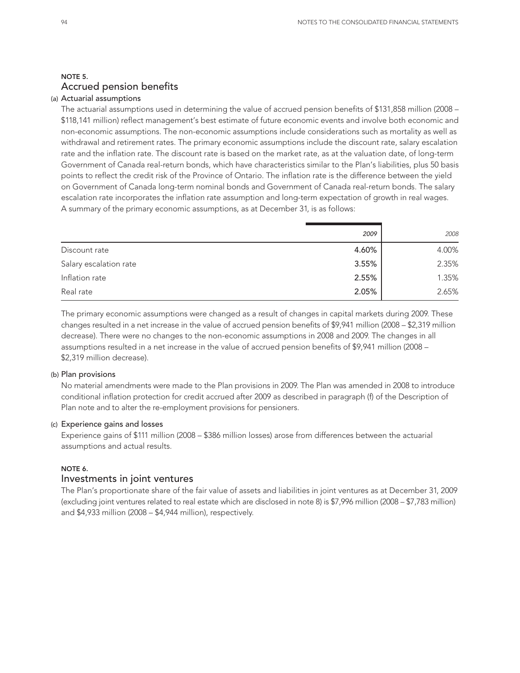## NOTE 5. Accrued pension benefits

#### (a) Actuarial assumptions

The actuarial assumptions used in determining the value of accrued pension benefits of \$131,858 million (2008 – \$118,141 million) reflect management's best estimate of future economic events and involve both economic and non-economic assumptions. The non-economic assumptions include considerations such as mortality as well as withdrawal and retirement rates. The primary economic assumptions include the discount rate, salary escalation rate and the inflation rate. The discount rate is based on the market rate, as at the valuation date, of long-term Government of Canada real-return bonds, which have characteristics similar to the Plan's liabilities, plus 50 basis points to reflect the credit risk of the Province of Ontario. The inflation rate is the difference between the yield on Government of Canada long-term nominal bonds and Government of Canada real-return bonds. The salary escalation rate incorporates the inflation rate assumption and long-term expectation of growth in real wages. A summary of the primary economic assumptions, as at December 31, is as follows:

|                        | 2009  | 2008  |
|------------------------|-------|-------|
| Discount rate          | 4.60% | 4.00% |
| Salary escalation rate | 3.55% | 2.35% |
| Inflation rate         | 2.55% | 1.35% |
| Real rate              | 2.05% | 2.65% |

The primary economic assumptions were changed as a result of changes in capital markets during 2009. These changes resulted in a net increase in the value of accrued pension benefits of \$9,941 million (2008 – \$2,319 million decrease). There were no changes to the non-economic assumptions in 2008 and 2009. The changes in all assumptions resulted in a net increase in the value of accrued pension benefits of \$9,941 million (2008 – \$2,319 million decrease).

#### (b) Plan provisions

No material amendments were made to the Plan provisions in 2009. The Plan was amended in 2008 to introduce conditional inflation protection for credit accrued after 2009 as described in paragraph (f) of the Description of Plan note and to alter the re-employment provisions for pensioners.

#### (c) Experience gains and losses

Experience gains of \$111 million (2008 – \$386 million losses) arose from differences between the actuarial assumptions and actual results.

#### NOTE 6.

#### Investments in joint ventures

The Plan's proportionate share of the fair value of assets and liabilities in joint ventures as at December 31, 2009 (excluding joint ventures related to real estate which are disclosed in note 8) is \$7,996 million (2008 – \$7,783 million) and \$4,933 million (2008 – \$4,944 million), respectively.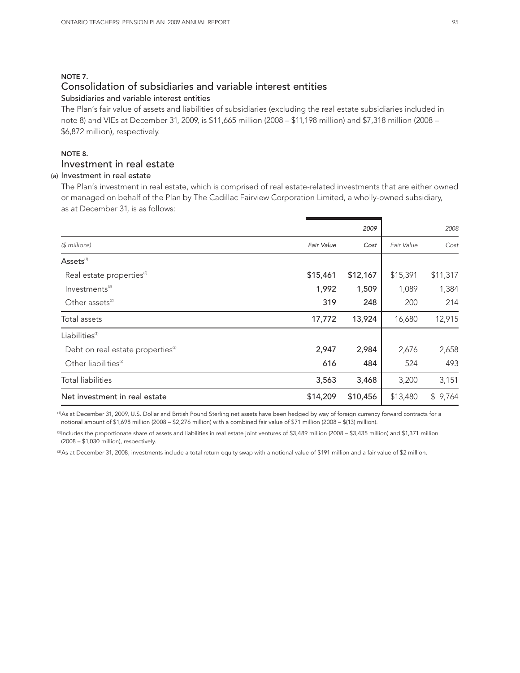#### NOTE 7. Consolidation of subsidiaries and variable interest entities Subsidiaries and variable interest entities

The Plan's fair value of assets and liabilities of subsidiaries (excluding the real estate subsidiaries included in note 8) and VIEs at December 31, 2009, is \$11,665 million (2008 – \$11,198 million) and \$7,318 million (2008 – \$6,872 million), respectively.

## NOTE 8. Investment in real estate

### (a) Investment in real estate

The Plan's investment in real estate, which is comprised of real estate-related investments that are either owned or managed on behalf of the Plan by The Cadillac Fairview Corporation Limited, a wholly-owned subsidiary, as at December 31, is as follows:

|                                               |            | 2009     |            | 2008     |
|-----------------------------------------------|------------|----------|------------|----------|
| $$$ millions)                                 | Fair Value | Cost     | Fair Value | Cost     |
| Assets <sup>(1)</sup>                         |            |          |            |          |
| Real estate properties <sup>(2)</sup>         | \$15,461   | \$12,167 | \$15,391   | \$11,317 |
| Investments <sup>(3)</sup>                    | 1,992      | 1,509    | 1,089      | 1,384    |
| Other assets <sup>(2)</sup>                   | 319        | 248      | 200        | 214      |
| Total assets                                  | 17,772     | 13,924   | 16,680     | 12,915   |
| Liabilities <sup>(1)</sup>                    |            |          |            |          |
| Debt on real estate properties <sup>(2)</sup> | 2,947      | 2,984    | 2,676      | 2,658    |
| Other liabilities <sup>(2)</sup>              | 616        | 484      | 524        | 493      |
| <b>Total liabilities</b>                      | 3,563      | 3,468    | 3,200      | 3,151    |
| Net investment in real estate                 | \$14,209   | \$10,456 | \$13,480   | \$9,764  |

(1)As at December 31, 2009, U.S. Dollar and British Pound Sterling net assets have been hedged by way of foreign currency forward contracts for a notional amount of \$1,698 million (2008 – \$2,276 million) with a combined fair value of \$71 million (2008 – \$(13) million).

(2)Includes the proportionate share of assets and liabilities in real estate joint ventures of \$3,489 million (2008 – \$3,435 million) and \$1,371 million (2008 – \$1,030 million), respectively.

(3)As at December 31, 2008, investments include a total return equity swap with a notional value of \$191 million and a fair value of \$2 million.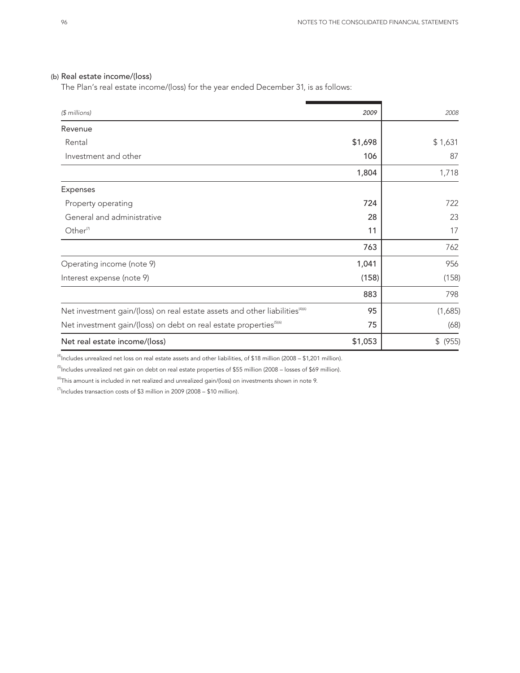#### (b) Real estate income/(loss)

The Plan's real estate income/(loss) for the year ended December 31, is as follows:

| $$$ millions)                                                                            | 2009    | 2008     |
|------------------------------------------------------------------------------------------|---------|----------|
| Revenue                                                                                  |         |          |
| Rental                                                                                   | \$1,698 | \$1,631  |
| Investment and other                                                                     | 106     | 87       |
|                                                                                          | 1,804   | 1,718    |
| Expenses                                                                                 |         |          |
| Property operating                                                                       | 724     | 722      |
| General and administrative                                                               | 28      | 23       |
| Other <sup>(7)</sup>                                                                     | 11      | 17       |
|                                                                                          | 763     | 762      |
| Operating income (note 9)                                                                | 1,041   | 956      |
| Interest expense (note 9)                                                                | (158)   | (158)    |
|                                                                                          | 883     | 798      |
| Net investment gain/(loss) on real estate assets and other liabilities <sup>(4)(6)</sup> | 95      | (1,685)  |
| Net investment gain/(loss) on debt on real estate properties <sup>(5)(6)</sup>           | 75      | (68)     |
| Net real estate income/(loss)                                                            | \$1,053 | \$ (955) |

 $^{(4)}$ Includes unrealized net loss on real estate assets and other liabilities, of \$18 million (2008 – \$1,201 million).

<sup>(5)</sup>Includes unrealized net gain on debt on real estate properties of \$55 million (2008 – losses of \$69 million).

 $^{(6)}$ This amount is included in net realized and unrealized gain/(loss) on investments shown in note 9.

 $^{(7)}$ Includes transaction costs of \$3 million in 2009 (2008 – \$10 million).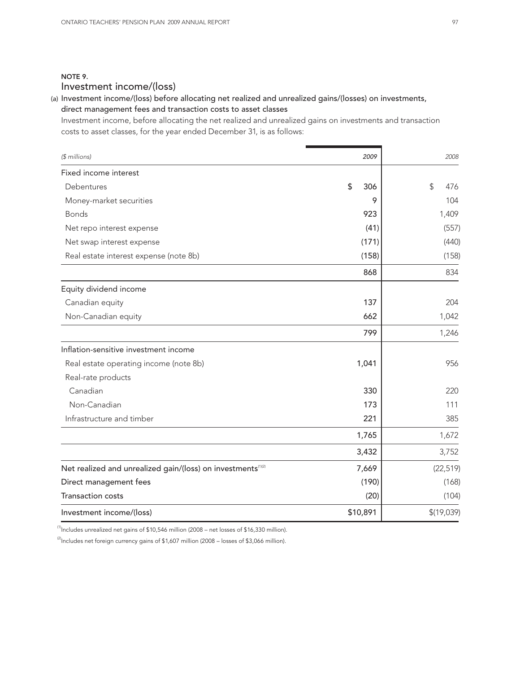## NOTE 9. Investment income/(loss)

(a) Investment income/(loss) before allocating net realized and unrealized gains/(losses) on investments, direct management fees and transaction costs to asset classes

Investment income, before allocating the net realized and unrealized gains on investments and transaction costs to asset classes, for the year ended December 31, is as follows:

| $$$ millions)                                                            | 2009      | 2008       |
|--------------------------------------------------------------------------|-----------|------------|
| Fixed income interest                                                    |           |            |
| Debentures                                                               | \$<br>306 | \$<br>476  |
| Money-market securities                                                  | 9         | 104        |
| <b>Bonds</b>                                                             | 923       | 1,409      |
| Net repo interest expense                                                | (41)      | (557)      |
| Net swap interest expense                                                | (171)     | (440)      |
| Real estate interest expense (note 8b)                                   | (158)     | (158)      |
|                                                                          | 868       | 834        |
| Equity dividend income                                                   |           |            |
| Canadian equity                                                          | 137       | 204        |
| Non-Canadian equity                                                      | 662       | 1,042      |
|                                                                          | 799       | 1,246      |
| Inflation-sensitive investment income                                    |           |            |
| Real estate operating income (note 8b)                                   | 1,041     | 956        |
| Real-rate products                                                       |           |            |
| Canadian                                                                 | 330       | 220        |
| Non-Canadian                                                             | 173       | 111        |
| Infrastructure and timber                                                | 221       | 385        |
|                                                                          | 1,765     | 1,672      |
|                                                                          | 3,432     | 3,752      |
| Net realized and unrealized gain/(loss) on investments <sup>(1)(2)</sup> | 7,669     | (22, 519)  |
| Direct management fees                                                   | (190)     | (168)      |
| <b>Transaction costs</b>                                                 | (20)      | (104)      |
| Investment income/(loss)                                                 | \$10,891  | \$(19,039) |

 $^{(1)}$ Includes unrealized net gains of \$10,546 million (2008 – net losses of \$16,330 million).

 $^{(2)}$ Includes net foreign currency gains of \$1,607 million (2008 – losses of \$3,066 million).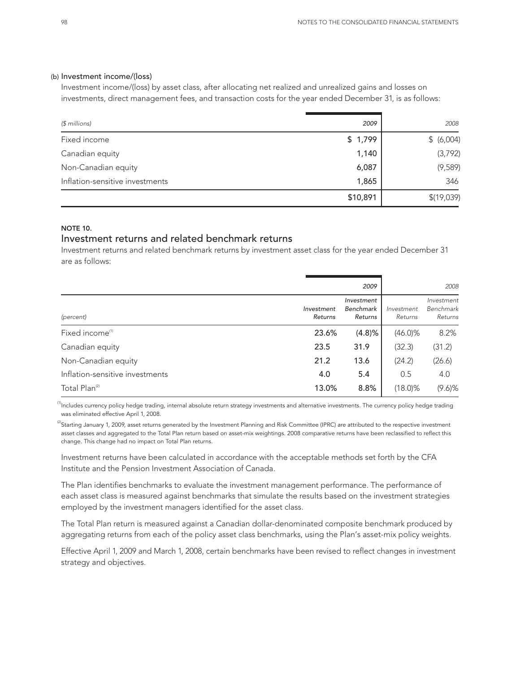#### (b) Investment income/(loss)

Investment income/(loss) by asset class, after allocating net realized and unrealized gains and losses on investments, direct management fees, and transaction costs for the year ended December 31, is as follows:

| $$$ millions)                   | 2009     | 2008       |
|---------------------------------|----------|------------|
| Fixed income                    | \$1,799  | \$ (6,004) |
| Canadian equity                 | 1,140    | (3,792)    |
| Non-Canadian equity             | 6,087    | (9,589)    |
| Inflation-sensitive investments | 1,865    | 346        |
|                                 | \$10,891 | \$(19,039) |

#### NOTE 10.

## Investment returns and related benchmark returns

Investment returns and related benchmark returns by investment asset class for the year ended December 31 are as follows:

|                                 |                       | 2009                               |                       | 2008                               |
|---------------------------------|-----------------------|------------------------------------|-----------------------|------------------------------------|
| (percent)                       | Investment<br>Returns | Investment<br>Benchmark<br>Returns | Investment<br>Returns | Investment<br>Benchmark<br>Returns |
| Fixed income <sup>(1)</sup>     | 23.6%                 | (4.8)%                             | $(46.0)\%$            | 8.2%                               |
| Canadian equity                 | 23.5                  | 31.9                               | (32.3)                | (31.2)                             |
| Non-Canadian equity             | 21.2                  | 13.6                               | (24.2)                | (26.6)                             |
| Inflation-sensitive investments | 4.0                   | 5.4                                | 0.5                   | 4.0                                |
| Total Plan <sup>(2)</sup>       | 13.0%                 | 8.8%                               | $(18.0)\%$            | $(9.6)$ %                          |

<sup>(1)</sup>Includes currency policy hedge trading, internal absolute return strategy investments and alternative investments. The currency policy hedge trading was eliminated effective April 1, 2008.

 ${}^{(2)}$ Starting January 1, 2009, asset returns generated by the Investment Planning and Risk Committee (IPRC) are attributed to the respective investment asset classes and aggregated to the Total Plan return based on asset-mix weightings. 2008 comparative returns have been reclassified to reflect this change. This change had no impact on Total Plan returns.

Investment returns have been calculated in accordance with the acceptable methods set forth by the CFA Institute and the Pension Investment Association of Canada.

The Plan identifies benchmarks to evaluate the investment management performance. The performance of each asset class is measured against benchmarks that simulate the results based on the investment strategies employed by the investment managers identified for the asset class.

The Total Plan return is measured against a Canadian dollar-denominated composite benchmark produced by aggregating returns from each of the policy asset class benchmarks, using the Plan's asset-mix policy weights.

Effective April 1, 2009 and March 1, 2008, certain benchmarks have been revised to reflect changes in investment strategy and objectives.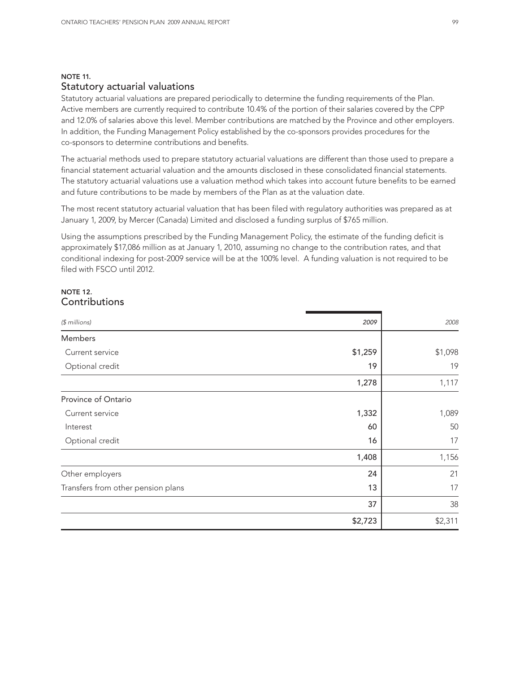## NOTE 11. Statutory actuarial valuations

Statutory actuarial valuations are prepared periodically to determine the funding requirements of the Plan. Active members are currently required to contribute 10.4% of the portion of their salaries covered by the CPP and 12.0% of salaries above this level. Member contributions are matched by the Province and other employers. In addition, the Funding Management Policy established by the co-sponsors provides procedures for the co-sponsors to determine contributions and benefits.

The actuarial methods used to prepare statutory actuarial valuations are different than those used to prepare a financial statement actuarial valuation and the amounts disclosed in these consolidated financial statements. The statutory actuarial valuations use a valuation method which takes into account future benefits to be earned and future contributions to be made by members of the Plan as at the valuation date.

The most recent statutory actuarial valuation that has been filed with regulatory authorities was prepared as at January 1, 2009, by Mercer (Canada) Limited and disclosed a funding surplus of \$765 million.

Using the assumptions prescribed by the Funding Management Policy, the estimate of the funding deficit is approximately \$17,086 million as at January 1, 2010, assuming no change to the contribution rates, and that conditional indexing for post-2009 service will be at the 100% level. A funding valuation is not required to be filed with FSCO until 2012.

#### NOTE 12. **Contributions**

| $$$ millions)                      | 2009    | 2008    |
|------------------------------------|---------|---------|
| Members                            |         |         |
| Current service                    | \$1,259 | \$1,098 |
| Optional credit                    | 19      | 19      |
|                                    | 1,278   | 1,117   |
| Province of Ontario                |         |         |
| Current service                    | 1,332   | 1,089   |
| Interest                           | 60      | 50      |
| Optional credit                    | 16      | 17      |
|                                    | 1,408   | 1,156   |
| Other employers                    | 24      | 21      |
| Transfers from other pension plans | 13      | 17      |
|                                    | 37      | 38      |
|                                    | \$2,723 | \$2,311 |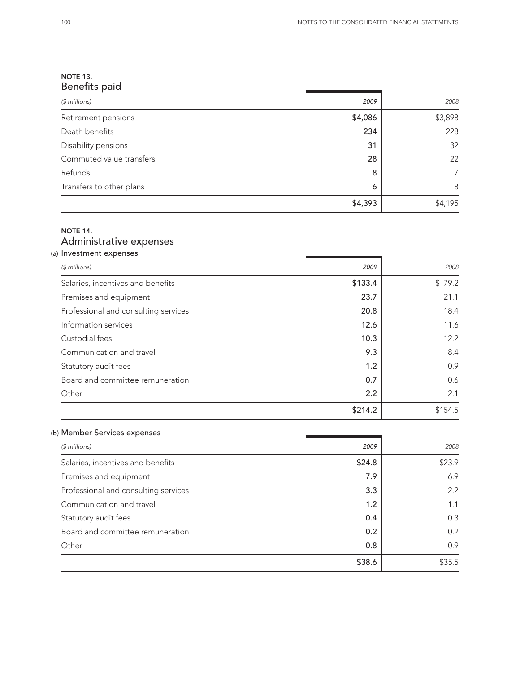## NOTE 13. Benefits paid

| $$$ millions)            | 2009    | 2008    |
|--------------------------|---------|---------|
| Retirement pensions      | \$4,086 | \$3,898 |
| Death benefits           | 234     | 228     |
| Disability pensions      | 31      | 32      |
| Commuted value transfers | 28      | 22      |
| Refunds                  | 8       | 7       |
| Transfers to other plans | 6       | 8       |
|                          | \$4,393 | \$4,195 |

## NOTE 14. Administrative expenses

| (a) Investment expenses              |         |         |
|--------------------------------------|---------|---------|
| $$$ millions)                        | 2009    | 2008    |
| Salaries, incentives and benefits    | \$133.4 | \$79.2  |
| Premises and equipment               | 23.7    | 21.1    |
| Professional and consulting services | 20.8    | 18.4    |
| Information services                 | 12.6    | 11.6    |
| Custodial fees                       | 10.3    | 12.2    |
| Communication and travel             | 9.3     | 8.4     |
| Statutory audit fees                 | 1.2     | 0.9     |
| Board and committee remuneration     | 0.7     | 0.6     |
| Other                                | 2.2     | 2.1     |
|                                      | \$214.2 | \$154.5 |

## (b) Member Services expenses

| $$$ millions)                        | 2009   | 2008   |
|--------------------------------------|--------|--------|
| Salaries, incentives and benefits    | \$24.8 | \$23.9 |
| Premises and equipment               | 7.9    | 6.9    |
| Professional and consulting services | 3.3    | 2.2    |
| Communication and travel             | 1.2    | 1.1    |
| Statutory audit fees                 | 0.4    | 0.3    |
| Board and committee remuneration     | 0.2    | 0.2    |
| Other                                | 0.8    | 0.9    |
|                                      | \$38.6 | \$35.5 |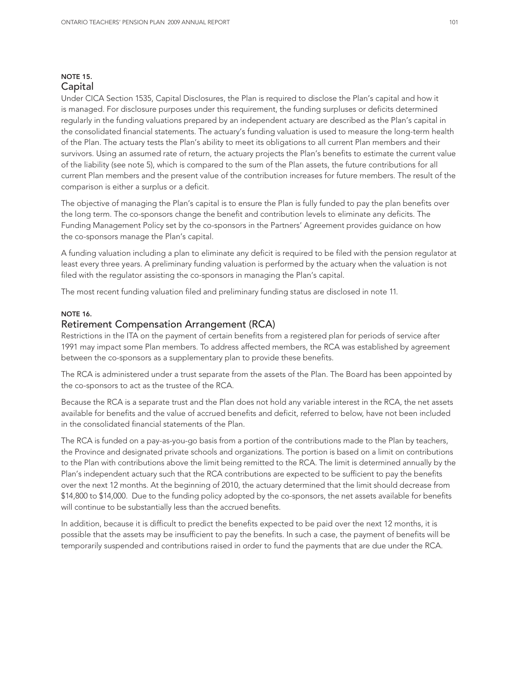#### NOTE 15. Capital

Under CICA Section 1535, Capital Disclosures, the Plan is required to disclose the Plan's capital and how it is managed. For disclosure purposes under this requirement, the funding surpluses or deficits determined regularly in the funding valuations prepared by an independent actuary are described as the Plan's capital in the consolidated financial statements. The actuary's funding valuation is used to measure the long-term health of the Plan. The actuary tests the Plan's ability to meet its obligations to all current Plan members and their survivors. Using an assumed rate of return, the actuary projects the Plan's benefits to estimate the current value of the liability (see note 5), which is compared to the sum of the Plan assets, the future contributions for all current Plan members and the present value of the contribution increases for future members. The result of the comparison is either a surplus or a deficit.

The objective of managing the Plan's capital is to ensure the Plan is fully funded to pay the plan benefits over the long term. The co-sponsors change the benefit and contribution levels to eliminate any deficits. The Funding Management Policy set by the co-sponsors in the Partners' Agreement provides guidance on how the co-sponsors manage the Plan's capital.

A funding valuation including a plan to eliminate any deficit is required to be filed with the pension regulator at least every three years. A preliminary funding valuation is performed by the actuary when the valuation is not filed with the regulator assisting the co-sponsors in managing the Plan's capital.

The most recent funding valuation filed and preliminary funding status are disclosed in note 11.

#### NOTE 16.

#### Retirement Compensation Arrangement (RCA)

Restrictions in the ITA on the payment of certain benefits from a registered plan for periods of service after 1991 may impact some Plan members. To address affected members, the RCA was established by agreement between the co-sponsors as a supplementary plan to provide these benefits.

The RCA is administered under a trust separate from the assets of the Plan. The Board has been appointed by the co-sponsors to act as the trustee of the RCA.

Because the RCA is a separate trust and the Plan does not hold any variable interest in the RCA, the net assets available for benefits and the value of accrued benefits and deficit, referred to below, have not been included in the consolidated financial statements of the Plan.

The RCA is funded on a pay-as-you-go basis from a portion of the contributions made to the Plan by teachers, the Province and designated private schools and organizations. The portion is based on a limit on contributions to the Plan with contributions above the limit being remitted to the RCA. The limit is determined annually by the Plan's independent actuary such that the RCA contributions are expected to be sufficient to pay the benefits over the next 12 months. At the beginning of 2010, the actuary determined that the limit should decrease from \$14,800 to \$14,000. Due to the funding policy adopted by the co-sponsors, the net assets available for benefits will continue to be substantially less than the accrued benefits.

In addition, because it is difficult to predict the benefits expected to be paid over the next 12 months, it is possible that the assets may be insufficient to pay the benefits. In such a case, the payment of benefits will be temporarily suspended and contributions raised in order to fund the payments that are due under the RCA.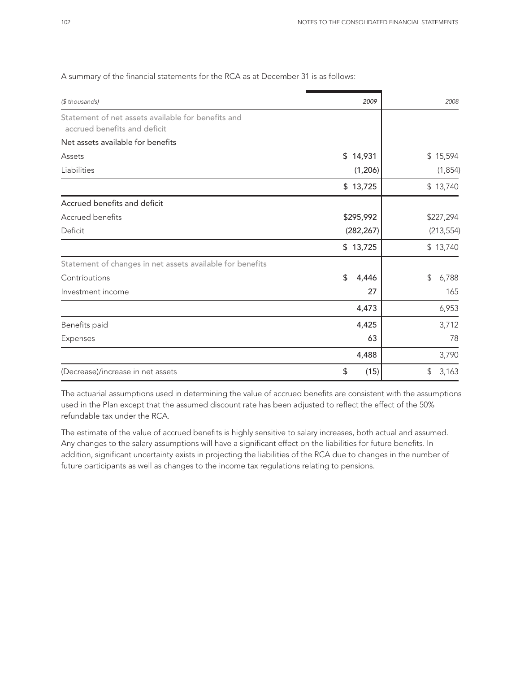| (\$ thousands)                                                                     | 2009        | 2008        |
|------------------------------------------------------------------------------------|-------------|-------------|
| Statement of net assets available for benefits and<br>accrued benefits and deficit |             |             |
| Net assets available for benefits                                                  |             |             |
| Assets                                                                             | \$14,931    | \$15,594    |
| Liabilities                                                                        | (1,206)     | (1, 854)    |
|                                                                                    | \$13,725    | \$13,740    |
| Accrued benefits and deficit                                                       |             |             |
| Accrued benefits                                                                   | \$295,992   | \$227,294   |
| Deficit                                                                            | (282, 267)  | (213, 554)  |
|                                                                                    | \$13,725    | \$13,740    |
| Statement of changes in net assets available for benefits                          |             |             |
| Contributions                                                                      | \$<br>4,446 | 6,788<br>\$ |
| Investment income                                                                  | 27          | 165         |
|                                                                                    | 4,473       | 6,953       |
| Benefits paid                                                                      | 4,425       | 3,712       |
| Expenses                                                                           | 63          | 78          |
|                                                                                    | 4,488       | 3,790       |
| (Decrease)/increase in net assets                                                  | \$<br>(15)  | \$<br>3,163 |

#### A summary of the financial statements for the RCA as at December 31 is as follows:

The actuarial assumptions used in determining the value of accrued benefits are consistent with the assumptions used in the Plan except that the assumed discount rate has been adjusted to reflect the effect of the 50% refundable tax under the RCA.

The estimate of the value of accrued benefits is highly sensitive to salary increases, both actual and assumed. Any changes to the salary assumptions will have a significant effect on the liabilities for future benefits. In addition, significant uncertainty exists in projecting the liabilities of the RCA due to changes in the number of future participants as well as changes to the income tax regulations relating to pensions.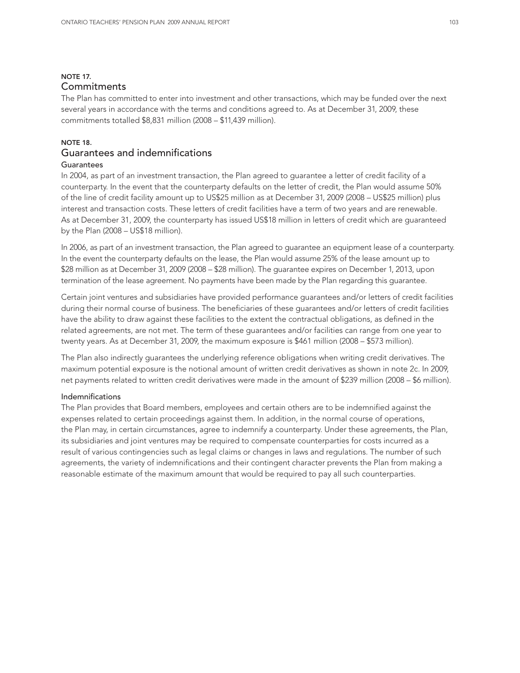## NOTE 17. **Commitments**

The Plan has committed to enter into investment and other transactions, which may be funded over the next several years in accordance with the terms and conditions agreed to. As at December 31, 2009, these commitments totalled \$8,831 million (2008 – \$11,439 million).

#### NOTE 18.

## Guarantees and indemnifications

### Guarantees

In 2004, as part of an investment transaction, the Plan agreed to guarantee a letter of credit facility of a counterparty. In the event that the counterparty defaults on the letter of credit, the Plan would assume 50% of the line of credit facility amount up to US\$25 million as at December 31, 2009 (2008 – US\$25 million) plus interest and transaction costs. These letters of credit facilities have a term of two years and are renewable. As at December 31, 2009, the counterparty has issued US\$18 million in letters of credit which are guaranteed by the Plan (2008 – US\$18 million).

In 2006, as part of an investment transaction, the Plan agreed to guarantee an equipment lease of a counterparty. In the event the counterparty defaults on the lease, the Plan would assume 25% of the lease amount up to \$28 million as at December 31, 2009 (2008 – \$28 million). The guarantee expires on December 1, 2013, upon termination of the lease agreement. No payments have been made by the Plan regarding this guarantee.

Certain joint ventures and subsidiaries have provided performance guarantees and/or letters of credit facilities during their normal course of business. The beneficiaries of these guarantees and/or letters of credit facilities have the ability to draw against these facilities to the extent the contractual obligations, as defined in the related agreements, are not met. The term of these guarantees and/or facilities can range from one year to twenty years. As at December 31, 2009, the maximum exposure is \$461 million (2008 – \$573 million).

The Plan also indirectly guarantees the underlying reference obligations when writing credit derivatives. The maximum potential exposure is the notional amount of written credit derivatives as shown in note 2c. In 2009, net payments related to written credit derivatives were made in the amount of \$239 million (2008 – \$6 million).

#### Indemnifications

The Plan provides that Board members, employees and certain others are to be indemnified against the expenses related to certain proceedings against them. In addition, in the normal course of operations, the Plan may, in certain circumstances, agree to indemnify a counterparty. Under these agreements, the Plan, its subsidiaries and joint ventures may be required to compensate counterparties for costs incurred as a result of various contingencies such as legal claims or changes in laws and regulations. The number of such agreements, the variety of indemnifications and their contingent character prevents the Plan from making a reasonable estimate of the maximum amount that would be required to pay all such counterparties.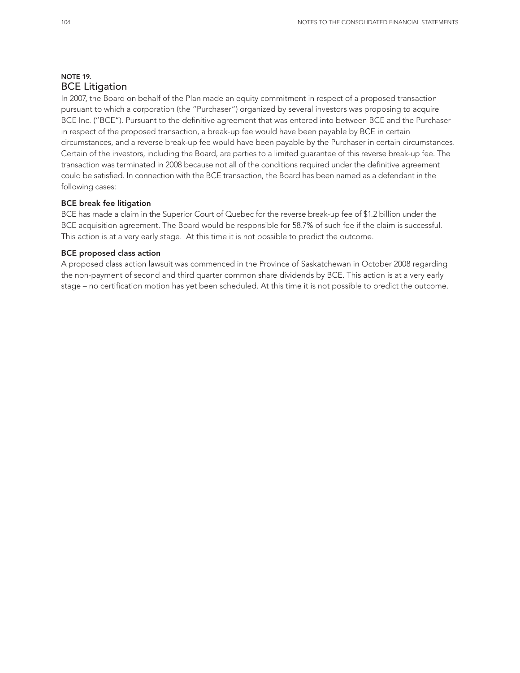## NOTE 19. BCE Litigation

In 2007, the Board on behalf of the Plan made an equity commitment in respect of a proposed transaction pursuant to which a corporation (the "Purchaser") organized by several investors was proposing to acquire BCE Inc. ("BCE"). Pursuant to the definitive agreement that was entered into between BCE and the Purchaser in respect of the proposed transaction, a break-up fee would have been payable by BCE in certain circumstances, and a reverse break-up fee would have been payable by the Purchaser in certain circumstances. Certain of the investors, including the Board, are parties to a limited guarantee of this reverse break-up fee. The transaction was terminated in 2008 because not all of the conditions required under the definitive agreement could be satisfied. In connection with the BCE transaction, the Board has been named as a defendant in the following cases:

#### BCE break fee litigation

BCE has made a claim in the Superior Court of Quebec for the reverse break-up fee of \$1.2 billion under the BCE acquisition agreement. The Board would be responsible for 58.7% of such fee if the claim is successful. This action is at a very early stage. At this time it is not possible to predict the outcome.

#### BCE proposed class action

A proposed class action lawsuit was commenced in the Province of Saskatchewan in October 2008 regarding the non-payment of second and third quarter common share dividends by BCE. This action is at a very early stage – no certification motion has yet been scheduled. At this time it is not possible to predict the outcome.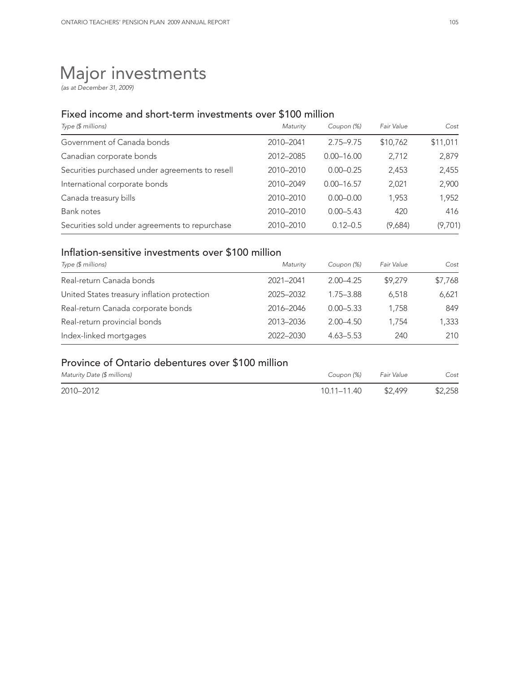# Major investments

*(as at December 31, 2009)*

## Fixed income and short-term investments over \$100 million

| Type (\$ millions)                              | Maturity  | Coupon (%)     | Fair Value | Cost     |
|-------------------------------------------------|-----------|----------------|------------|----------|
| Government of Canada bonds                      | 2010-2041 | 2.75-9.75      | \$10,762   | \$11,011 |
| Canadian corporate bonds                        | 2012-2085 | $0.00 - 16.00$ | 2.712      | 2,879    |
| Securities purchased under agreements to resell | 2010-2010 | $0.00 - 0.25$  | 2.453      | 2,455    |
| International corporate bonds                   | 2010-2049 | $0.00 - 16.57$ | 2,021      | 2,900    |
| Canada treasury bills                           | 2010-2010 | $0.00 - 0.00$  | 1.953      | 1,952    |
| Bank notes                                      | 2010-2010 | $0.00 - 5.43$  | 420        | 416      |
| Securities sold under agreements to repurchase  | 2010-2010 | $0.12 - 0.5$   | (9,684)    | (9,701)  |

## Inflation-sensitive investments over \$100 million

| Type (\$ millions)                          | Maturity  | Coupon (%)    | Fair Value | Cost    |  |
|---------------------------------------------|-----------|---------------|------------|---------|--|
| Real-return Canada bonds                    | 2021-2041 | $2.00 - 4.25$ | \$9,279    | \$7,768 |  |
| United States treasury inflation protection | 2025-2032 | 1.75 - 3.88   | 6.518      | 6,621   |  |
| Real-return Canada corporate bonds          | 2016-2046 | $0.00 - 5.33$ | 1.758      | 849     |  |
| Real-return provincial bonds                | 2013-2036 | $2.00 - 4.50$ | 1.754      | 1,333   |  |
| Index-linked mortgages                      | 2022-2030 | $4.63 - 5.53$ | 240        | 210     |  |

## Province of Ontario debentures over \$100 million

| Maturity Date (\$ millions) | Coupon (%)  | Fair Value | Cost    |
|-----------------------------|-------------|------------|---------|
| 2010-2012                   | 10.11–11.40 | \$2,499    | \$2,258 |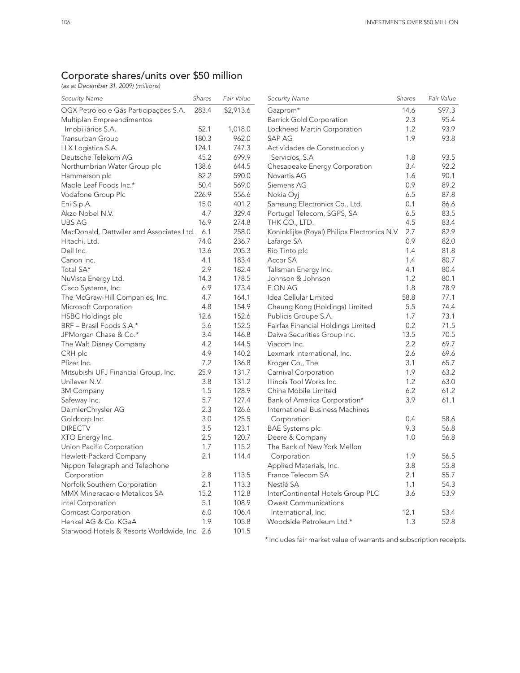### Corporate shares/units over \$50 million

*(as at December 31, 2009) (millions)*

| <b>Security Name</b>                          | Shares | Fair Value | <b>Security Name</b>                         | Shares | Fair Value |
|-----------------------------------------------|--------|------------|----------------------------------------------|--------|------------|
| OGX Petróleo e Gás Participações S.A.         | 283.4  | \$2,913.6  | Gazprom*                                     | 14.6   | \$97.3     |
| Multiplan Empreendimentos                     |        |            | <b>Barrick Gold Corporation</b>              | 2.3    | 95.4       |
| Imobiliários S.A.                             | 52.1   | 1,018.0    | Lockheed Martin Corporation                  | 1.2    | 93.9       |
| Transurban Group                              | 180.3  | 962.0      | <b>SAP AG</b>                                | 1.9    | 93.8       |
| LLX Logistica S.A.                            | 124.1  | 747.3      | Actividades de Construccion y                |        |            |
| Deutsche Telekom AG                           | 45.2   | 699.9      | Servicios, S.A.                              | 1.8    | 93.5       |
| Northumbrian Water Group plc                  | 138.6  | 644.5      | Chesapeake Energy Corporation                | 3.4    | 92.2       |
| Hammerson plc                                 | 82.2   | 590.0      | Novartis AG                                  | 1.6    | 90.1       |
| Maple Leaf Foods Inc.*                        | 50.4   | 569.0      | Siemens AG                                   | 0.9    | 89.2       |
| Vodafone Group Plc                            | 226.9  | 556.6      | Nokia Oyj                                    | 6.5    | 87.8       |
| Eni S.p.A.                                    | 15.0   | 401.2      | Samsung Electronics Co., Ltd.                | 0.1    | 86.6       |
| Akzo Nobel N.V.                               | 4.7    | 329.4      | Portugal Telecom, SGPS, SA                   | 6.5    | 83.5       |
| <b>UBS AG</b>                                 | 16.9   | 274.8      | THK CO., LTD.                                | 4.5    | 83.4       |
| MacDonald, Dettwiler and Associates Ltd.      | 6.1    | 258.0      | Koninklijke (Royal) Philips Electronics N.V. | 2.7    | 82.9       |
| Hitachi, Ltd.                                 | 74.0   | 236.7      | Lafarge SA                                   | 0.9    | 82.0       |
| Dell Inc.                                     | 13.6   | 205.3      | Rio Tinto plc                                | 1.4    | 81.8       |
| Canon Inc.                                    | 4.1    | 183.4      | Accor SA                                     | 1.4    | 80.7       |
| Total SA*                                     | 2.9    | 182.4      | Talisman Energy Inc.                         | 4.1    | 80.4       |
| NuVista Energy Ltd.                           | 14.3   | 178.5      | Johnson & Johnson                            | 1.2    | 80.1       |
| Cisco Systems, Inc.                           | 6.9    | 173.4      | E.ON AG                                      | 1.8    | 78.9       |
| The McGraw-Hill Companies, Inc.               | 4.7    | 164.1      | Idea Cellular Limited                        | 58.8   | 77.1       |
| Microsoft Corporation                         | 4.8    | 154.9      | Cheung Kong (Holdings) Limited               | 5.5    | 74.4       |
| <b>HSBC Holdings plc</b>                      | 12.6   | 152.6      | Publicis Groupe S.A.                         | 1.7    | 73.1       |
| BRF - Brasil Foods S.A.*                      | 5.6    | 152.5      | Fairfax Financial Holdings Limited           | 0.2    | 71.5       |
| JPMorgan Chase & Co.*                         | 3.4    | 146.8      | Daiwa Securities Group Inc.                  | 13.5   | 70.5       |
| The Walt Disney Company                       | 4.2    | 144.5      | Viacom Inc.                                  | 2.2    | 69.7       |
| CRH plc                                       | 4.9    | 140.2      | Lexmark International, Inc.                  | 2.6    | 69.6       |
| Pfizer Inc.                                   | 7.2    | 136.8      | Kroger Co., The                              | 3.1    | 65.7       |
| Mitsubishi UFJ Financial Group, Inc.          | 25.9   | 131.7      | Carnival Corporation                         | 1.9    | 63.2       |
| Unilever N.V.                                 | 3.8    | 131.2      | Illinois Tool Works Inc.                     | 1.2    | 63.0       |
| 3M Company                                    | 1.5    | 128.9      | China Mobile Limited                         | 6.2    | 61.2       |
| Safeway Inc.                                  | 5.7    | 127.4      | Bank of America Corporation*                 | 3.9    | 61.1       |
| DaimlerChrysler AG                            | 2.3    | 126.6      | International Business Machines              |        |            |
| Goldcorp Inc.                                 | 3.0    | 125.5      | Corporation                                  | 0.4    | 58.6       |
| <b>DIRECTV</b>                                | 3.5    | 123.1      | <b>BAE</b> Systems plc                       | 9.3    | 56.8       |
| XTO Energy Inc.                               | 2.5    | 120.7      | Deere & Company                              | 1.0    | 56.8       |
| Union Pacific Corporation                     | 1.7    | 115.2      | The Bank of New York Mellon                  |        |            |
| Hewlett-Packard Company                       | 2.1    | 114.4      | Corporation                                  | 1.9    | 56.5       |
| Nippon Telegraph and Telephone                |        |            | Applied Materials, Inc.                      | 3.8    | 55.8       |
| Corporation                                   | 2.8    | 113.5      | France Telecom SA                            | 2.1    | 55.7       |
| Norfolk Southern Corporation                  | 2.1    | 113.3      | Nestlé SA                                    | 1.1    | 54.3       |
| MMX Mineracao e Metalicos SA                  | 15.2   | 112.8      | InterContinental Hotels Group PLC            | 3.6    | 53.9       |
| Intel Corporation                             | 5.1    | 108.9      | <b>Qwest Communications</b>                  |        |            |
| <b>Comcast Corporation</b>                    | 6.0    | 106.4      | International, Inc.                          | 12.1   | 53.4       |
| Henkel AG & Co. KGaA                          | 1.9    | 105.8      | Woodside Petroleum Ltd.*                     | 1.3    | 52.8       |
| Starwood Hotels & Resorts Worldwide, Inc. 2.6 |        | 101.5      |                                              |        |            |

\* Includes fair market value of warrants and subscription receipts.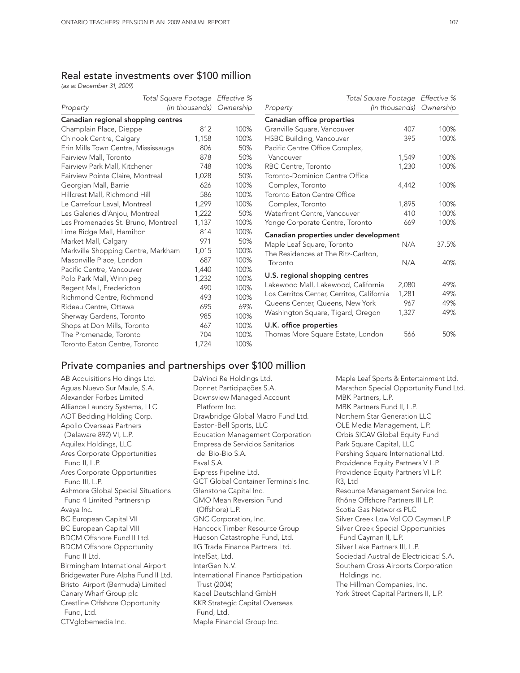## Real estate investments over \$100 million

*(as at December 31, 2009)*

|                                     |       | Total Square Footage Effective % |                |
|-------------------------------------|-------|----------------------------------|----------------|
| Property                            |       | (in thousands) Ownership         | Property       |
| Canadian regional shopping centres  |       |                                  | Canadia        |
| Champlain Place, Dieppe             | 812   | 100%                             | Granville      |
| Chinook Centre, Calgary             | 1,158 | 100%                             | <b>HSBC Bu</b> |
| Erin Mills Town Centre, Mississauga | 806   | 50%                              | Pacific C      |
| Fairview Mall, Toronto              | 878   | 50%                              | Vancou         |
| Fairview Park Mall, Kitchener       | 748   | 100%                             | <b>RBC Cer</b> |
| Fairview Pointe Claire, Montreal    | 1,028 | 50%                              | Toronto-       |
| Georgian Mall, Barrie               | 626   | 100%                             | Comple         |
| Hillcrest Mall, Richmond Hill       | 586   | 100%                             | Toronto I      |
| Le Carrefour Laval, Montreal        | 1,299 | 100%                             | Comple         |
| Les Galeries d'Anjou, Montreal      | 1,222 | 50%                              | Waterfro       |
| Les Promenades St. Bruno, Montreal  | 1,137 | 100%                             | Yonge C        |
| Lime Ridge Mall, Hamilton           | 814   | 100%                             | Canadia        |
| Market Mall, Calgary                | 971   | 50%                              | Maple Le       |
| Markville Shopping Centre, Markham  | 1,015 | 100%                             | The Resi       |
| Masonville Place, London            | 687   | 100%                             | Toronto        |
| Pacific Centre, Vancouver           | 1,440 | 100%                             |                |
| Polo Park Mall, Winnipeg            | 1,232 | 100%                             | U.S. regi      |
| Regent Mall, Fredericton            | 490   | 100%                             | Lakewoo        |
| Richmond Centre, Richmond           | 493   | 100%                             | Los Cerri      |
| Rideau Centre, Ottawa               | 695   | 69%                              | Queens (       |
| Sherway Gardens, Toronto            | 985   | 100%                             | Washing        |
| Shops at Don Mills, Toronto         | 467   | 100%                             | U.K. offi      |
| The Promenade, Toronto              | 704   | 100%                             | Thomas         |
| Toronto Eaton Centre, Toronto       | 1,724 | 100%                             |                |

|                                           | Total Square Footage Effective % |                |           |  |  |
|-------------------------------------------|----------------------------------|----------------|-----------|--|--|
| Property                                  |                                  | (in thousands) | Ownership |  |  |
| Canadian office properties                |                                  |                |           |  |  |
| Granville Square, Vancouver               |                                  | 407            | 100%      |  |  |
| <b>HSBC Building, Vancouver</b>           |                                  | 395            | 100%      |  |  |
| Pacific Centre Office Complex,            |                                  |                |           |  |  |
| Vancouver                                 |                                  | 1,549          | 100%      |  |  |
| RBC Centre, Toronto                       |                                  | 1,230          | 100%      |  |  |
| Toronto-Dominion Centre Office            |                                  |                |           |  |  |
| Complex, Toronto                          |                                  | 4,442          | 100%      |  |  |
| Toronto Eaton Centre Office               |                                  |                |           |  |  |
| Complex, Toronto                          |                                  | 1,895          | 100%      |  |  |
| Waterfront Centre, Vancouver              |                                  | 410            | 100%      |  |  |
| Yonge Corporate Centre, Toronto           |                                  | 669            | 100%      |  |  |
| Canadian properties under development     |                                  |                |           |  |  |
| Maple Leaf Square, Toronto                |                                  | N/A            | 37.5%     |  |  |
| The Residences at The Ritz-Carlton,       |                                  |                |           |  |  |
| Toronto                                   |                                  | N/A            | 40%       |  |  |
| U.S. regional shopping centres            |                                  |                |           |  |  |
| Lakewood Mall, Lakewood, California       |                                  | 2,080          | 49%       |  |  |
| Los Cerritos Center, Cerritos, California |                                  | 1,281          | 49%       |  |  |
| Queens Center, Queens, New York           |                                  | 967            | 49%       |  |  |
| Washington Square, Tigard, Oregon         |                                  | 1,327          | 49%       |  |  |
| U.K. office properties                    |                                  |                |           |  |  |
| Thomas More Square Estate, London         |                                  | 566            | 50%       |  |  |

#### Private companies and partnerships over \$100 million

AB Acquisitions Holdings Ltd. Aguas Nuevo Sur Maule, S.A. Alexander Forbes Limited Alliance Laundry Systems, LLC AOT Bedding Holding Corp. Apollo Overseas Partners (Delaware 892) VI, L.P. Aquilex Holdings, LLC Ares Corporate Opportunities Fund II, L.P. Ares Corporate Opportunities Fund III, L.P. Ashmore Global Special Situations Fund 4 Limited Partnership Avaya Inc. BC European Capital VII BC European Capital VIII BDCM Offshore Fund II Ltd. BDCM Offshore Opportunity Fund II Ltd. Birmingham International Airport Bridgewater Pure Alpha Fund II Ltd. Bristol Airport (Bermuda) Limited Canary Wharf Group plc Crestline Offshore Opportunity Fund, Ltd. CTVglobemedia Inc.

DaVinci Re Holdings Ltd. Donnet Participações S.A. Downsview Managed Account Platform Inc. Drawbridge Global Macro Fund Ltd. Easton-Bell Sports, LLC Education Management Corporation Empresa de Servicios Sanitarios del Bio-Bio S.A. Esval S.A. Express Pipeline Ltd. GCT Global Container Terminals Inc. Glenstone Capital Inc. GMO Mean Reversion Fund (Offshore) L.P. GNC Corporation, Inc. Hancock Timber Resource Group Hudson Catastrophe Fund, Ltd. IIG Trade Finance Partners Ltd. IntelSat, Ltd. InterGen N.V. International Finance Participation Trust (2004) Kabel Deutschland GmbH KKR Strategic Capital Overseas Fund, Ltd.

Maple Financial Group Inc.

Maple Leaf Sports & Entertainment Ltd. Marathon Special Opportunity Fund Ltd. MBK Partners, L.P. MBK Partners Fund II, L.P. Northern Star Generation LLC OLE Media Management, L.P. Orbis SICAV Global Equity Fund Park Square Capital, LLC Pershing Square International Ltd. Providence Equity Partners V L.P. Providence Equity Partners VI L.P. R3, Ltd Resource Management Service Inc. Rhône Offshore Partners III L.P. Scotia Gas Networks PLC Silver Creek Low Vol CO Cayman LP Silver Creek Special Opportunities Fund Cayman II, L.P. Silver Lake Partners III, L.P. Sociedad Austral de Electricidad S.A. Southern Cross Airports Corporation Holdings Inc. The Hillman Companies, Inc. York Street Capital Partners II, L.P.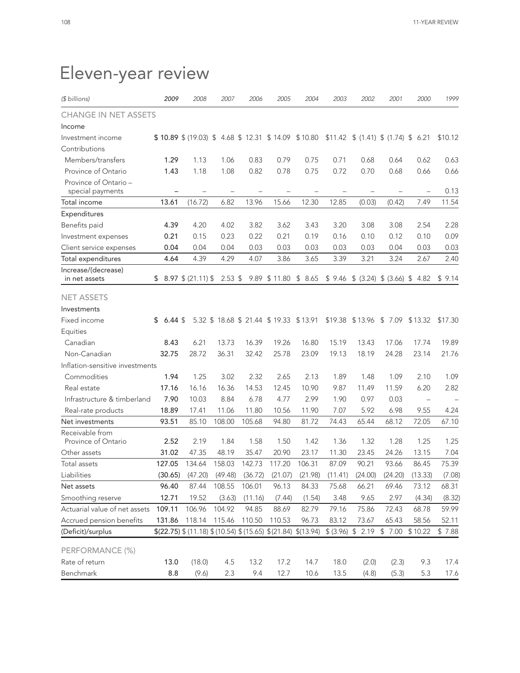| (\$ billions)                             | 2009                 | 2008                                              | 2007      | 2006    | 2005                                 | 2004                                                              | 2003    | 2002             | 2001                                             | 2000          | 1999    |
|-------------------------------------------|----------------------|---------------------------------------------------|-----------|---------|--------------------------------------|-------------------------------------------------------------------|---------|------------------|--------------------------------------------------|---------------|---------|
| <b>CHANGE IN NET ASSETS</b>               |                      |                                                   |           |         |                                      |                                                                   |         |                  |                                                  |               |         |
| Income                                    |                      |                                                   |           |         |                                      |                                                                   |         |                  |                                                  |               |         |
| Investment income                         |                      | \$10.89 \$ (19.03) \$4.68 \$12.31 \$14.09 \$10.80 |           |         |                                      |                                                                   |         |                  | $$11.42 \quad $(1.41) \quad $(1.74) \quad $6.21$ |               | \$10.12 |
| Contributions                             |                      |                                                   |           |         |                                      |                                                                   |         |                  |                                                  |               |         |
| Members/transfers                         | 1.29                 | 1.13                                              | 1.06      | 0.83    | 0.79                                 | 0.75                                                              | 0.71    | 0.68             | 0.64                                             | 0.62          | 0.63    |
| Province of Ontario                       | 1.43                 | 1.18                                              | 1.08      | 0.82    | 0.78                                 | 0.75                                                              | 0.72    | 0.70             | 0.68                                             | 0.66          | 0.66    |
| Province of Ontario -<br>special payments |                      |                                                   |           |         |                                      |                                                                   |         |                  |                                                  |               | 0.13    |
| Total income                              | 13.61                | (16.72)                                           | 6.82      | 13.96   | 15.66                                | 12.30                                                             | 12.85   | (0.03)           | (0.42)                                           | 7.49          | 11.54   |
| Expenditures                              |                      |                                                   |           |         |                                      |                                                                   |         |                  |                                                  |               |         |
| Benefits paid                             | 4.39                 | 4.20                                              | 4.02      | 3.82    | 3.62                                 | 3.43                                                              | 3.20    | 3.08             | 3.08                                             | 2.54          | 2.28    |
| Investment expenses                       | 0.21                 | 0.15                                              | 0.23      | 0.22    | 0.21                                 | 0.19                                                              | 0.16    | 0.10             | 0.12                                             | 0.10          | 0.09    |
| Client service expenses                   | 0.04                 | 0.04                                              | 0.04      | 0.03    | 0.03                                 | 0.03                                                              | 0.03    | 0.03             | 0.04                                             | 0.03          | 0.03    |
| Total expenditures                        | 4.64                 | 4.39                                              | 4.29      | 4.07    | 3.86                                 | 3.65                                                              | 3.39    | 3.21             | 3.24                                             | 2.67          | 2.40    |
| Increase/(decrease)                       |                      |                                                   |           |         |                                      |                                                                   |         |                  |                                                  |               |         |
| in net assets                             |                      | $$8.97 \$ (21.11) \$$                             | $2.53$ \$ |         | 9.89 \$11.80 \$8.65                  |                                                                   |         |                  | $$9.46 \$ (3.24) \$ (3.66) \$ 4.82$              |               | \$9.14  |
| <b>NET ASSETS</b>                         |                      |                                                   |           |         |                                      |                                                                   |         |                  |                                                  |               |         |
| Investments                               |                      |                                                   |           |         |                                      |                                                                   |         |                  |                                                  |               |         |
| Fixed income                              | $6.44~{\rm s}$<br>\$ |                                                   |           |         | 5.32 \$18.68 \$21.44 \$19.33 \$13.91 |                                                                   | \$19.38 | $$13.96$ \$ 7.09 |                                                  | \$13.32       | \$17.30 |
| Equities                                  |                      |                                                   |           |         |                                      |                                                                   |         |                  |                                                  |               |         |
| Canadian                                  | 8.43                 | 6.21                                              | 13.73     | 16.39   | 19.26                                | 16.80                                                             | 15.19   | 13.43            | 17.06                                            | 17.74         | 19.89   |
| Non-Canadian                              | 32.75                | 28.72                                             | 36.31     | 32.42   | 25.78                                | 23.09                                                             | 19.13   | 18.19            | 24.28                                            | 23.14         | 21.76   |
| Inflation-sensitive investments           |                      |                                                   |           |         |                                      |                                                                   |         |                  |                                                  |               |         |
| Commodities                               | 1.94                 | 1.25                                              | 3.02      | 2.32    | 2.65                                 | 2.13                                                              | 1.89    | 1.48             | 1.09                                             | 2.10          | 1.09    |
| Real estate                               | 17.16                | 16.16                                             | 16.36     | 14.53   | 12.45                                | 10.90                                                             | 9.87    | 11.49            | 11.59                                            | 6.20          | 2.82    |
| Infrastructure & timberland               | 7.90                 | 10.03                                             | 8.84      | 6.78    | 4.77                                 | 2.99                                                              | 1.90    | 0.97             | 0.03                                             | $\frac{1}{2}$ |         |
| Real-rate products                        | 18.89                | 17.41                                             | 11.06     | 11.80   | 10.56                                | 11.90                                                             | 7.07    | 5.92             | 6.98                                             | 9.55          | 4.24    |
| Net investments                           | 93.51                | 85.10                                             | 108.00    | 105.68  | 94.80                                | 81.72                                                             | 74.43   | 65.44            | 68.12                                            | 72.05         | 67.10   |
| Receivable from<br>Province of Ontario    | 2.52                 | 2.19                                              | 1.84      | 1.58    | 1.50                                 | 1.42                                                              | 1.36    | 1.32             | 1.28                                             | 1.25          | 1.25    |
| Other assets                              | 31.02                | 47.35                                             | 48.19     | 35.47   | 20.90                                | 23.17                                                             | 11.30   | 23.45            | 24.26                                            | 13.15         | 7.04    |
| Total assets                              | 127.05               | 134.64                                            | 158.03    | 142.73  | 117.20                               | 106.31                                                            | 87.09   | 90.21            | 93.66                                            | 86.45         | 75.39   |
| Liabilities                               | (30.65)              | (47.20)                                           | (49.48)   | (36.72) | (21.07)                              | (21.98)                                                           | (11.41) | (24.00)          | (24.20)                                          | (13.33)       | (7.08)  |
| Net assets                                | 96.40                | 87.44                                             | 108.55    | 106.01  | 96.13                                | 84.33                                                             | 75.68   | 66.21            | 69.46                                            | 73.12         | 68.31   |
| Smoothing reserve                         | 12.71                | 19.52                                             | (3.63)    | (11.16) | (7.44)                               | (1.54)                                                            | 3.48    | 9.65             | 2.97                                             | (4.34)        | (8.32)  |
| Actuarial value of net assets             | 109.11               | 106.96                                            | 104.92    | 94.85   | 88.69                                | 82.79                                                             | 79.16   | 75.86            | 72.43                                            | 68.78         | 59.99   |
| Accrued pension benefits                  | 131.86               | 118.14                                            | 115.46    | 110.50  | 110.53                               | 96.73                                                             | 83.12   | 73.67            | 65.43                                            | 58.56         | 52.11   |
| (Deficit)/surplus                         |                      |                                                   |           |         |                                      | $$(22.75)$ $$(11.18)$ $$(10.54)$ $$(15.65)$ $$(21.84)$ $$(13.94)$ |         | \$ (3.96) \$2.19 | \$7.00                                           | \$10.22       | \$7.88  |
| PERFORMANCE (%)                           |                      |                                                   |           |         |                                      |                                                                   |         |                  |                                                  |               |         |
| Rate of return                            | 13.0                 | (18.0)                                            | 4.5       | 13.2    | 17.2                                 | 14.7                                                              | 18.0    | (2.0)            | (2.3)                                            | 9.3           | 17.4    |
| Benchmark                                 | 8.8                  | (9.6)                                             | 2.3       | 9.4     | 12.7                                 | 10.6                                                              | 13.5    | (4.8)            | (5.3)                                            | 5.3           | 17.6    |

# Eleven-year review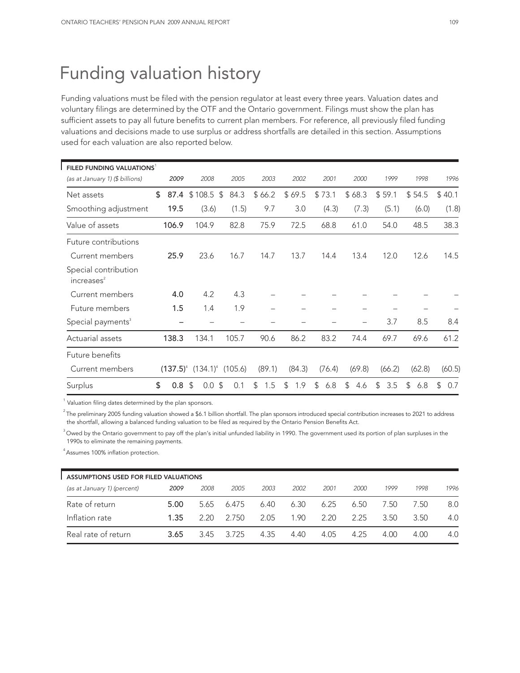# Funding valuation history

Funding valuations must be filed with the pension regulator at least every three years. Valuation dates and voluntary filings are determined by the OTF and the Ontario government. Filings must show the plan has sufficient assets to pay all future benefits to current plan members. For reference, all previously filed funding valuations and decisions made to use surplus or address shortfalls are detailed in this section. Assumptions used for each valuation are also reported below.

| FILED FUNDING VALUATIONS                       |            |                         |            |           |           |           |                       |           |           |           |
|------------------------------------------------|------------|-------------------------|------------|-----------|-----------|-----------|-----------------------|-----------|-----------|-----------|
| (as at January 1) (\$ billions)                | 2009       | 2008                    | 2005       | 2003      | 2002      | 2001      | 2000                  | 1999      | 1998      | 1996      |
| Net assets                                     | \$<br>87.4 | \$<br>108.5             | \$<br>84.3 | \$66.2    | \$69.5    | \$73.1    | \$68.3                | \$59.1    | \$54.5    | \$40.1    |
| Smoothing adjustment                           | 19.5       | (3.6)                   | (1.5)      | 9.7       | 3.0       | (4.3)     | (7.3)                 | (5.1)     | (6.0)     | (1.8)     |
| Value of assets                                | 106.9      | 104.9                   | 82.8       | 75.9      | 72.5      | 68.8      | 61.0                  | 54.0      | 48.5      | 38.3      |
| Future contributions                           |            |                         |            |           |           |           |                       |           |           |           |
| Current members                                | 25.9       | 23.6                    | 16.7       | 14.7      | 13.7      | 14.4      | 13.4                  | 12.0      | 12.6      | 14.5      |
| Special contribution<br>increases <sup>2</sup> |            |                         |            |           |           |           |                       |           |           |           |
| Current members                                | 4.0        | 4.2                     | 4.3        |           |           |           |                       |           |           |           |
| Future members                                 | 1.5        | 1.4                     | 1.9        |           |           |           |                       |           |           |           |
| Special payments <sup>3</sup>                  |            |                         |            |           |           |           |                       | 3.7       | 8.5       | 8.4       |
| Actuarial assets                               | 138.3      | 134.1                   | 105.7      | 90.6      | 86.2      | 83.2      | 74.4                  | 69.7      | 69.6      | 61.2      |
| Future benefits                                |            |                         |            |           |           |           |                       |           |           |           |
| Current members                                |            | $(137.5)^4$ $(134.1)^4$ | (105.6)    | (89.1)    | (84.3)    | (76.4)    | (69.8)                | (66.2)    | (62.8)    | (60.5)    |
| Surplus                                        | \$<br>0.8  | -\$<br>0.0              | \$<br>0.1  | \$<br>1.5 | \$<br>1.9 | \$<br>6.8 | $\mathfrak{L}$<br>4.6 | \$<br>3.5 | \$<br>6.8 | \$<br>0.7 |

 $<sup>1</sup>$  Valuation filing dates determined by the plan sponsors.</sup>

 $2$ The preliminary 2005 funding valuation showed a \$6.1 billion shortfall. The plan sponsors introduced special contribution increases to 2021 to address the shortfall, allowing a balanced funding valuation to be filed as required by the Ontario Pension Benefits Act.

<sup>3</sup> Owed by the Ontario government to pay off the plan's initial unfunded liability in 1990. The government used its portion of plan surpluses in the 1990s to eliminate the remaining payments.

4 Assumes 100% inflation protection.

| ASSUMPTIONS USED FOR FILED VALUATIONS |      |      |       |      |      |      |      |      |      |      |  |  |
|---------------------------------------|------|------|-------|------|------|------|------|------|------|------|--|--|
| (as at January 1) (percent)           | 2009 | 2008 | 2005  | 2003 | 2002 | 2001 | 2000 | 1999 | 1998 | 1996 |  |  |
| Rate of return                        | 5.00 | 5.65 | 6.475 | 6.40 | 6.30 | 6.25 | 6.50 | 7.50 | 7.50 | 8.0  |  |  |
| Inflation rate                        | 1.35 | 2.20 | 2.750 | 2.05 | 1.90 | 2.20 | 2.25 | 3.50 | 3.50 | 4.0  |  |  |
| Real rate of return                   | 3.65 | 3.45 | 3.725 | 4.35 | 4.40 | 4.05 | 4.25 | 4.00 | 4.00 | 4.0  |  |  |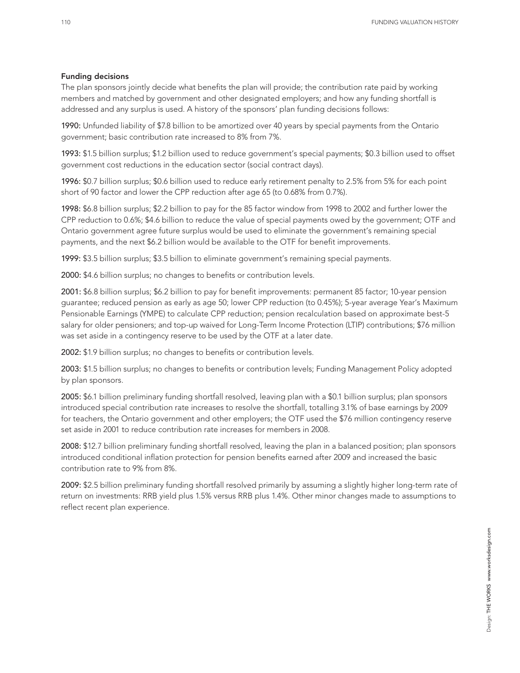#### Funding decisions

The plan sponsors jointly decide what benefits the plan will provide; the contribution rate paid by working members and matched by government and other designated employers; and how any funding shortfall is addressed and any surplus is used. A history of the sponsors' plan funding decisions follows:

1990: Unfunded liability of \$7.8 billion to be amortized over 40 years by special payments from the Ontario government; basic contribution rate increased to 8% from 7%.

1993: \$1.5 billion surplus; \$1.2 billion used to reduce government's special payments; \$0.3 billion used to offset government cost reductions in the education sector (social contract days).

1996: \$0.7 billion surplus; \$0.6 billion used to reduce early retirement penalty to 2.5% from 5% for each point short of 90 factor and lower the CPP reduction after age 65 (to 0.68% from 0.7%).

1998: \$6.8 billion surplus; \$2.2 billion to pay for the 85 factor window from 1998 to 2002 and further lower the CPP reduction to 0.6%; \$4.6 billion to reduce the value of special payments owed by the government; OTF and Ontario government agree future surplus would be used to eliminate the government's remaining special payments, and the next \$6.2 billion would be available to the OTF for benefit improvements.

1999: \$3.5 billion surplus; \$3.5 billion to eliminate government's remaining special payments.

2000: \$4.6 billion surplus; no changes to benefits or contribution levels.

2001: \$6.8 billion surplus; \$6.2 billion to pay for benefit improvements: permanent 85 factor; 10-year pension guarantee; reduced pension as early as age 50; lower CPP reduction (to 0.45%); 5-year average Year's Maximum Pensionable Earnings (YMPE) to calculate CPP reduction; pension recalculation based on approximate best-5 salary for older pensioners; and top-up waived for Long-Term Income Protection (LTIP) contributions; \$76 million was set aside in a contingency reserve to be used by the OTF at a later date.

2002: \$1.9 billion surplus; no changes to benefits or contribution levels.

2003: \$1.5 billion surplus; no changes to benefits or contribution levels; Funding Management Policy adopted by plan sponsors.

2005: \$6.1 billion preliminary funding shortfall resolved, leaving plan with a \$0.1 billion surplus; plan sponsors introduced special contribution rate increases to resolve the shortfall, totalling 3.1% of base earnings by 2009 for teachers, the Ontario government and other employers; the OTF used the \$76 million contingency reserve set aside in 2001 to reduce contribution rate increases for members in 2008.

2008: \$12.7 billion preliminary funding shortfall resolved, leaving the plan in a balanced position; plan sponsors introduced conditional inflation protection for pension benefits earned after 2009 and increased the basic contribution rate to 9% from 8%.

2009: \$2.5 billion preliminary funding shortfall resolved primarily by assuming a slightly higher long-term rate of return on investments: RRB yield plus 1.5% versus RRB plus 1.4%. Other minor changes made to assumptions to reflect recent plan experience.